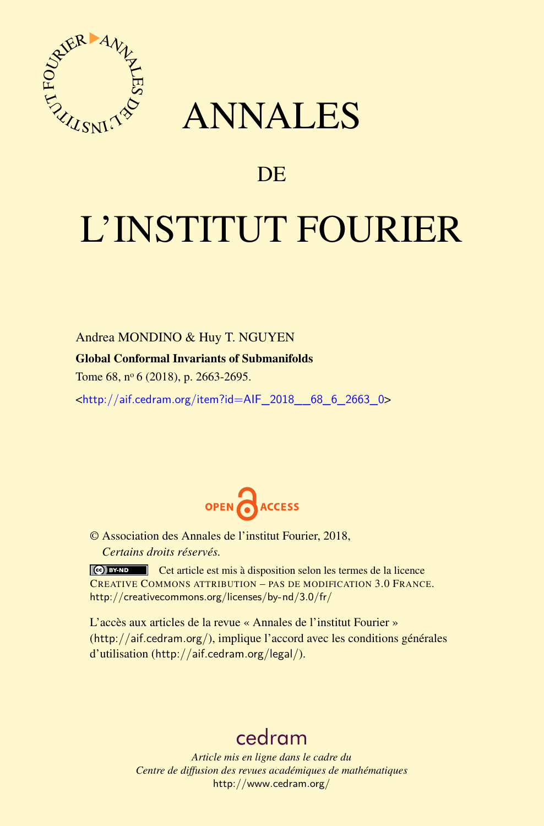

## ANNALES

### **DE**

# L'INSTITUT FOURIER

Andrea MONDINO & Huy T. NGUYEN

#### Global Conformal Invariants of Submanifolds

Tome 68, nº 6 (2018), p. 2663-2695.

<[http://aif.cedram.org/item?id=AIF\\_2018\\_\\_68\\_6\\_2663\\_0](http://aif.cedram.org/item?id=AIF_2018__68_6_2663_0)>



© Association des Annales de l'institut Fourier, 2018, *Certains droits réservés.*

Cet article est mis à disposition selon les termes de la licence CREATIVE COMMONS ATTRIBUTION – PAS DE MODIFICATION 3.0 FRANCE. <http://creativecommons.org/licenses/by-nd/3.0/fr/>

L'accès aux articles de la revue « Annales de l'institut Fourier » (<http://aif.cedram.org/>), implique l'accord avec les conditions générales d'utilisation (<http://aif.cedram.org/legal/>).

## [cedram](http://www.cedram.org/)

*Article mis en ligne dans le cadre du Centre de diffusion des revues académiques de mathématiques* <http://www.cedram.org/>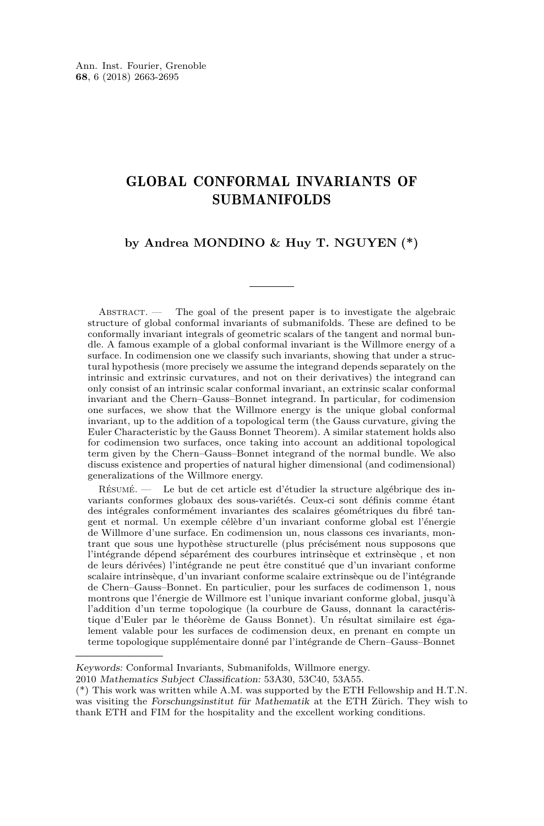#### GLOBAL CONFORMAL INVARIANTS OF SUBMANIFOLDS

#### **by Andrea MONDINO & Huy T. NGUYEN (\*)**

ABSTRACT. — The goal of the present paper is to investigate the algebraic structure of global conformal invariants of submanifolds. These are defined to be conformally invariant integrals of geometric scalars of the tangent and normal bundle. A famous example of a global conformal invariant is the Willmore energy of a surface. In codimension one we classify such invariants, showing that under a structural hypothesis (more precisely we assume the integrand depends separately on the intrinsic and extrinsic curvatures, and not on their derivatives) the integrand can only consist of an intrinsic scalar conformal invariant, an extrinsic scalar conformal invariant and the Chern–Gauss–Bonnet integrand. In particular, for codimension one surfaces, we show that the Willmore energy is the unique global conformal invariant, up to the addition of a topological term (the Gauss curvature, giving the Euler Characteristic by the Gauss Bonnet Theorem). A similar statement holds also for codimension two surfaces, once taking into account an additional topological term given by the Chern–Gauss–Bonnet integrand of the normal bundle. We also discuss existence and properties of natural higher dimensional (and codimensional) generalizations of the Willmore energy.

Résumé. — Le but de cet article est d'étudier la structure algébrique des invariants conformes globaux des sous-variétés. Ceux-ci sont définis comme étant des intégrales conformément invariantes des scalaires géométriques du fibré tangent et normal. Un exemple célèbre d'un invariant conforme global est l'énergie de Willmore d'une surface. En codimension un, nous classons ces invariants, montrant que sous une hypothèse structurelle (plus précisément nous supposons que l'intégrande dépend séparément des courbures intrinsèque et extrinsèque , et non de leurs dérivées) l'intégrande ne peut être constitué que d'un invariant conforme scalaire intrinsèque, d'un invariant conforme scalaire extrinsèque ou de l'intégrande de Chern–Gauss–Bonnet. En particulier, pour les surfaces de codimenson 1, nous montrons que l'énergie de Willmore est l'unique invariant conforme global, jusqu'à l'addition d'un terme topologique (la courbure de Gauss, donnant la caractéristique d'Euler par le théorème de Gauss Bonnet). Un résultat similaire est également valable pour les surfaces de codimension deux, en prenant en compte un terme topologique supplémentaire donné par l'intégrande de Chern–Gauss–Bonnet

Keywords: Conformal Invariants, Submanifolds, Willmore energy.

<sup>2010</sup> Mathematics Subject Classification: 53A30, 53C40, 53A55.

<sup>(\*)</sup> This work was written while A.M. was supported by the ETH Fellowship and H.T.N. was visiting the Forschungsinstitut für Mathematik at the ETH Zürich. They wish to thank ETH and FIM for the hospitality and the excellent working conditions.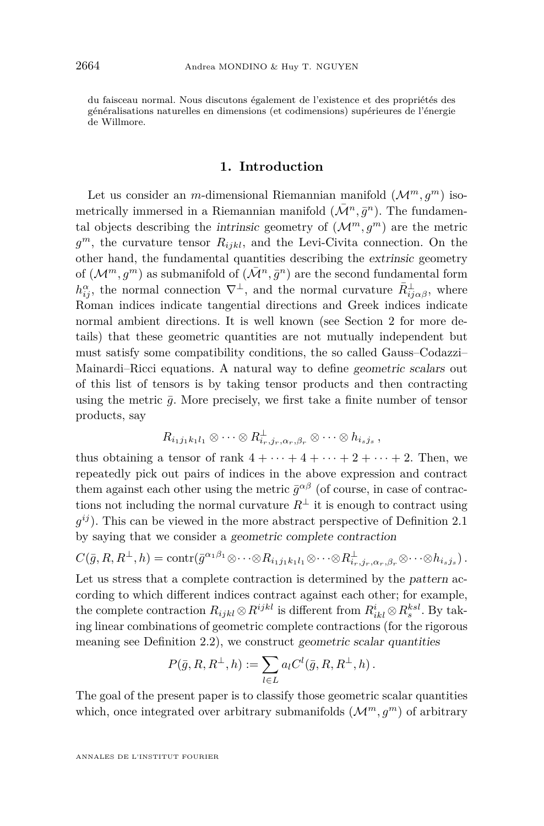du faisceau normal. Nous discutons également de l'existence et des propriétés des généralisations naturelles en dimensions (et codimensions) supérieures de l'énergie de Willmore.

#### **1. Introduction**

Let us consider an *m*-dimensional Riemannian manifold  $(\mathcal{M}^m, q^m)$  isometrically immersed in a Riemannian manifold  $(\bar{\mathcal{M}}^n, \bar{g}^n)$ . The fundamental objects describing the intrinsic geometry of  $(\mathcal{M}^m, g^m)$  are the metric *g <sup>m</sup>*, the curvature tensor *Rijkl*, and the Levi-Civita connection. On the other hand, the fundamental quantities describing the extrinsic geometry of  $(\mathcal{M}^m, g^m)$  as submanifold of  $(\bar{\mathcal{M}}^n, \bar{g}^n)$  are the second fundamental form  $h_{ij}^{\alpha}$ , the normal connection  $\nabla^{\perp}$ , and the normal curvature  $\bar{R}^{\perp}_{ij\alpha\beta}$ , where Roman indices indicate tangential directions and Greek indices indicate normal ambient directions. It is well known (see Section [2](#page-5-0) for more details) that these geometric quantities are not mutually independent but must satisfy some compatibility conditions, the so called Gauss–Codazzi– Mainardi–Ricci equations. A natural way to define geometric scalars out of this list of tensors is by taking tensor products and then contracting using the metric  $\bar{q}$ . More precisely, we first take a finite number of tensor products, say

$$
R_{i_1j_1k_1l_1} \otimes \cdots \otimes R_{i_r,j_r,\alpha_r,\beta_r}^{\perp} \otimes \cdots \otimes h_{i_sj_s},
$$

thus obtaining a tensor of rank  $4 + \cdots + 4 + \cdots + 2 + \cdots + 2$ . Then, we repeatedly pick out pairs of indices in the above expression and contract them against each other using the metric  $\bar{g}^{\alpha\beta}$  (of course, in case of contractions not including the normal curvature  $R^{\perp}$  it is enough to contract using  $g^{ij}$ ). This can be viewed in the more abstract perspective of Definition [2.1](#page-5-1) by saying that we consider a geometric complete contraction

$$
C(\bar{g}, R, R^{\perp}, h) = \text{contr}(\bar{g}^{\alpha_1 \beta_1} \otimes \cdots \otimes R_{i_1 j_1 k_1 l_1} \otimes \cdots \otimes R_{i_r, j_r, \alpha_r, \beta_r}^{\perp} \otimes \cdots \otimes h_{i_s j_s}).
$$

Let us stress that a complete contraction is determined by the pattern according to which different indices contract against each other; for example, the complete contraction  $R_{ijkl} \otimes R^{ijkl}$  is different from  $R^i_{ikl} \otimes R^{ksl}_s$ . By taking linear combinations of geometric complete contractions (for the rigorous meaning see Definition [2.2\)](#page-6-0), we construct geometric scalar quantities

$$
P(\bar{g}, R, R^{\perp}, h) := \sum_{l \in L} a_l C^l(\bar{g}, R, R^{\perp}, h).
$$

The goal of the present paper is to classify those geometric scalar quantities which, once integrated over arbitrary submanifolds  $(\mathcal{M}^m, g^m)$  of arbitrary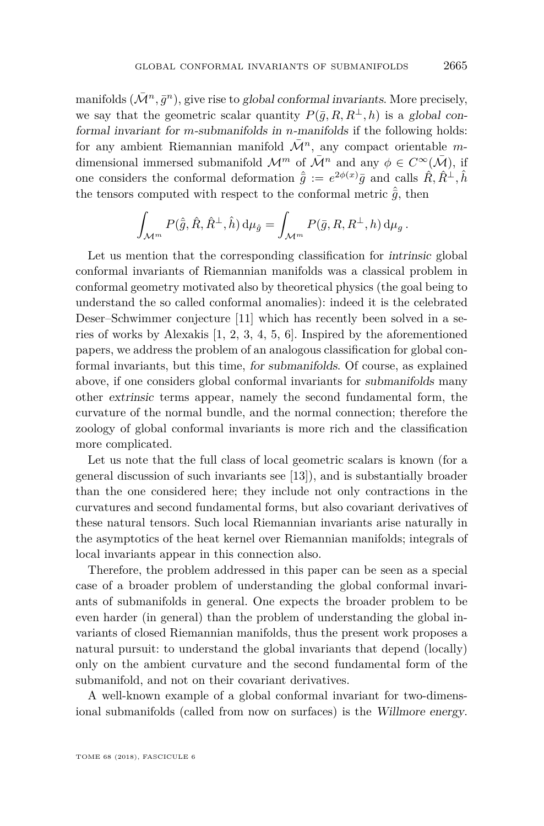manifolds  $(\bar{\mathcal{M}}^n, \bar{g}^n)$ , give rise to global conformal invariants. More precisely, we say that the geometric scalar quantity  $P(\bar{g}, R, R^{\perp}, h)$  is a global conformal invariant for *m*-submanifolds in *n*-manifolds if the following holds: for any ambient Riemannian manifold  $\overline{\mathcal{M}}^n$ , any compact orientable mdimensional immersed submanifold  $\mathcal{M}^m$  of  $\overline{\mathcal{M}}^n$  and any  $\phi \in C^{\infty}(\overline{\mathcal{M}})$ , if one considers the conformal deformation  $\hat{g} := e^{2\phi(x)}\bar{g}$  and calls  $\hat{R}, \hat{R}^{\perp}, \hat{h}$ the tensors computed with respect to the conformal metric  $\hat{\bar{q}}$ , then

$$
\int_{\mathcal{M}^m} P(\hat{\bar{g}}, \hat{R}, \hat{R}^{\perp}, \hat{h}) d\mu_{\hat{g}} = \int_{\mathcal{M}^m} P(\bar{g}, R, R^{\perp}, h) d\mu_{g}.
$$

Let us mention that the corresponding classification for intrinsic global conformal invariants of Riemannian manifolds was a classical problem in conformal geometry motivated also by theoretical physics (the goal being to understand the so called conformal anomalies): indeed it is the celebrated Deser–Schwimmer conjecture [\[11\]](#page-32-0) which has recently been solved in a series of works by Alexakis [\[1,](#page-32-1) [2,](#page-32-2) [3,](#page-32-3) [4,](#page-32-4) [5,](#page-32-5) [6\]](#page-32-6). Inspired by the aforementioned papers, we address the problem of an analogous classification for global conformal invariants, but this time, for submanifolds. Of course, as explained above, if one considers global conformal invariants for submanifolds many other extrinsic terms appear, namely the second fundamental form, the curvature of the normal bundle, and the normal connection; therefore the zoology of global conformal invariants is more rich and the classification more complicated.

Let us note that the full class of local geometric scalars is known (for a general discussion of such invariants see [\[13\]](#page-32-7)), and is substantially broader than the one considered here; they include not only contractions in the curvatures and second fundamental forms, but also covariant derivatives of these natural tensors. Such local Riemannian invariants arise naturally in the asymptotics of the heat kernel over Riemannian manifolds; integrals of local invariants appear in this connection also.

Therefore, the problem addressed in this paper can be seen as a special case of a broader problem of understanding the global conformal invariants of submanifolds in general. One expects the broader problem to be even harder (in general) than the problem of understanding the global invariants of closed Riemannian manifolds, thus the present work proposes a natural pursuit: to understand the global invariants that depend (locally) only on the ambient curvature and the second fundamental form of the submanifold, and not on their covariant derivatives.

A well-known example of a global conformal invariant for two-dimensional submanifolds (called from now on surfaces) is the Willmore energy.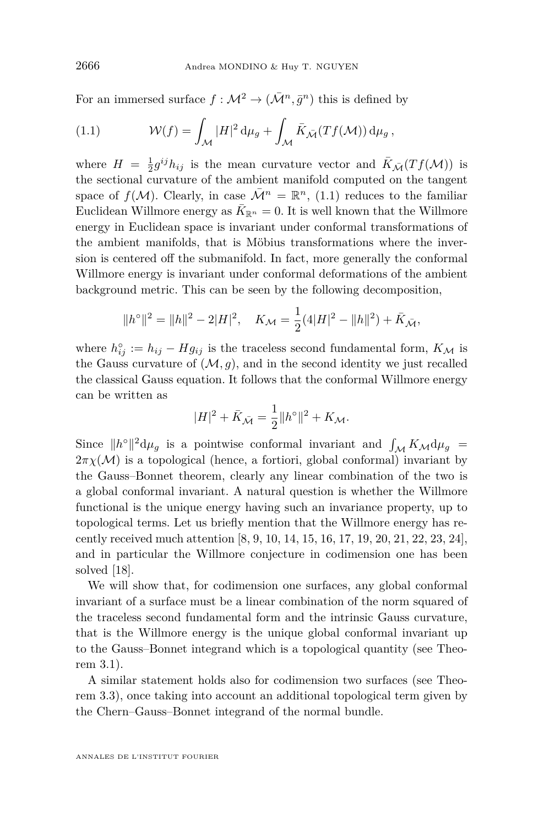For an immersed surface  $f: \mathcal{M}^2 \to (\bar{\mathcal{M}}^n, \bar{g}^n)$  this is defined by

<span id="page-4-0"></span>(1.1) 
$$
\mathcal{W}(f) = \int_{\mathcal{M}} |H|^2 d\mu_g + \int_{\mathcal{M}} \bar{K}_{\bar{\mathcal{M}}}(Tf(\mathcal{M})) d\mu_g,
$$

where  $H = \frac{1}{2}g^{ij}h_{ij}$  is the mean curvature vector and  $\bar{K}_{\bar{\mathcal{M}}}(Tf(\mathcal{M}))$  is the sectional curvature of the ambient manifold computed on the tangent space of  $f(M)$ . Clearly, in case  $\overline{\mathcal{M}}^n = \mathbb{R}^n$ , [\(1.1\)](#page-4-0) reduces to the familiar Euclidean Willmore energy as  $\bar{K}_{\mathbb{R}^n} = 0$ . It is well known that the Willmore energy in Euclidean space is invariant under conformal transformations of the ambient manifolds, that is Möbius transformations where the inversion is centered off the submanifold. In fact, more generally the conformal Willmore energy is invariant under conformal deformations of the ambient background metric. This can be seen by the following decomposition,

$$
||h^{\circ}||^{2} = ||h||^{2} - 2|H|^{2}, \quad K_{\mathcal{M}} = \frac{1}{2}(4|H|^{2} - ||h||^{2}) + \overline{K}_{\overline{\mathcal{M}}},
$$

where  $h_{ij}^{\circ} := h_{ij} - H g_{ij}$  is the traceless second fundamental form,  $K_{\mathcal{M}}$  is the Gauss curvature of  $(M, g)$ , and in the second identity we just recalled the classical Gauss equation. It follows that the conformal Willmore energy can be written as

$$
|H|^2 + \bar{K}_{\bar{\mathcal{M}}} = \frac{1}{2} ||h^{\circ}||^2 + K_{\mathcal{M}}.
$$

Since  $||h^{\circ}||^{2} d\mu_{g}$  is a pointwise conformal invariant and  $\int_{\mathcal{M}} K_{\mathcal{M}} d\mu_{g}$  =  $2\pi\chi(\mathcal{M})$  is a topological (hence, a fortiori, global conformal) invariant by the Gauss–Bonnet theorem, clearly any linear combination of the two is a global conformal invariant. A natural question is whether the Willmore functional is the unique energy having such an invariance property, up to topological terms. Let us briefly mention that the Willmore energy has recently received much attention [\[8,](#page-32-8) [9,](#page-32-9) [10,](#page-32-10) [14,](#page-32-11) [15,](#page-32-12) [16,](#page-32-13) [17,](#page-32-14) [19,](#page-32-15) [20,](#page-32-16) [21,](#page-32-17) [22,](#page-32-18) [23,](#page-33-0) [24\]](#page-33-1), and in particular the Willmore conjecture in codimension one has been solved [\[18\]](#page-32-19).

We will show that, for codimension one surfaces, any global conformal invariant of a surface must be a linear combination of the norm squared of the traceless second fundamental form and the intrinsic Gauss curvature, that is the Willmore energy is the unique global conformal invariant up to the Gauss–Bonnet integrand which is a topological quantity (see Theorem [3.1\)](#page-13-0).

A similar statement holds also for codimension two surfaces (see Theorem [3.3\)](#page-16-0), once taking into account an additional topological term given by the Chern–Gauss–Bonnet integrand of the normal bundle.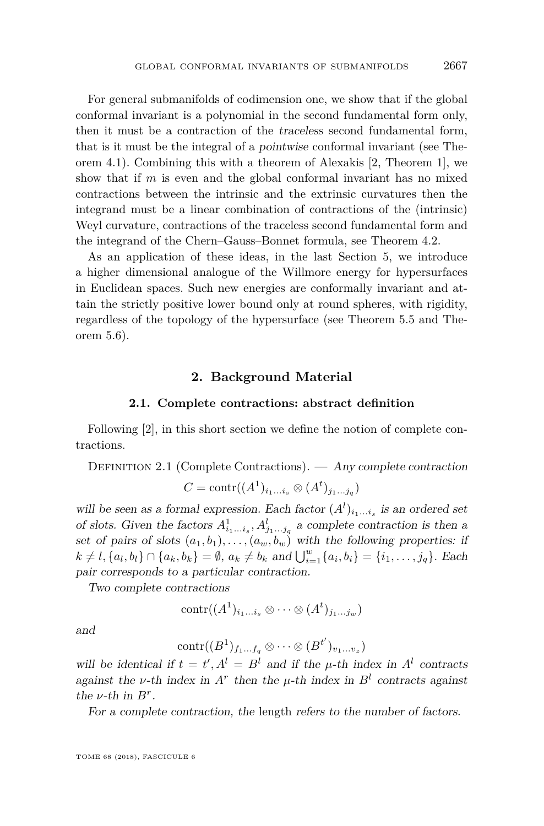For general submanifolds of codimension one, we show that if the global conformal invariant is a polynomial in the second fundamental form only, then it must be a contraction of the traceless second fundamental form, that is it must be the integral of a pointwise conformal invariant (see Theorem [4.1\)](#page-19-0). Combining this with a theorem of Alexakis [\[2,](#page-32-2) Theorem 1], we show that if *m* is even and the global conformal invariant has no mixed contractions between the intrinsic and the extrinsic curvatures then the integrand must be a linear combination of contractions of the (intrinsic) Weyl curvature, contractions of the traceless second fundamental form and the integrand of the Chern–Gauss–Bonnet formula, see Theorem [4.2.](#page-21-0)

As an application of these ideas, in the last Section [5,](#page-24-0) we introduce a higher dimensional analogue of the Willmore energy for hypersurfaces in Euclidean spaces. Such new energies are conformally invariant and attain the strictly positive lower bound only at round spheres, with rigidity, regardless of the topology of the hypersurface (see Theorem [5.5](#page-28-0) and Theorem [5.6\)](#page-30-0).

#### **2. Background Material**

#### **2.1. Complete contractions: abstract definition**

<span id="page-5-0"></span>Following [\[2\]](#page-32-2), in this short section we define the notion of complete contractions.

<span id="page-5-1"></span>DEFINITION 2.1 (Complete Contractions). — Any complete contraction

$$
C = \text{contr}((A^1)_{i_1...i_s} \otimes (A^t)_{j_1...j_q})
$$

will be seen as a formal expression. Each factor  $(A^l)_{i_1...i_s}$  is an ordered set of slots. Given the factors  $A_{i_1...i_s}^1, A_{j_1...j_q}^l$  a complete contraction is then a set of pairs of slots  $(a_1, b_1), \ldots, (a_w, b_w)$  with the following properties: if  $k \neq l, \{a_l, b_l\} \cap \{a_k, b_k\} = \emptyset$ ,  $a_k \neq b_k$  and  $\bigcup_{i=1}^w \{a_i, b_i\} = \{i_1, \ldots, j_q\}$ . Each pair corresponds to a particular contraction.

Two complete contractions

$$
contr((A1)i1...is \otimes \cdots \otimes (At)j1...jw)
$$

and

$$
\mathrm{contr}((B^1)_{f_1...f_q} \otimes \cdots \otimes (B^{t'})_{v_1...v_z})
$$

will be identical if  $t = t'$ ,  $A^l = B^l$  and if the  $\mu$ -th index in  $A^l$  contracts against the *v*-th index in  $A^r$  then the *µ*-th index in  $B^l$  contracts against the  $\nu$ -th in  $B^r$ .

For a complete contraction, the length refers to the number of factors.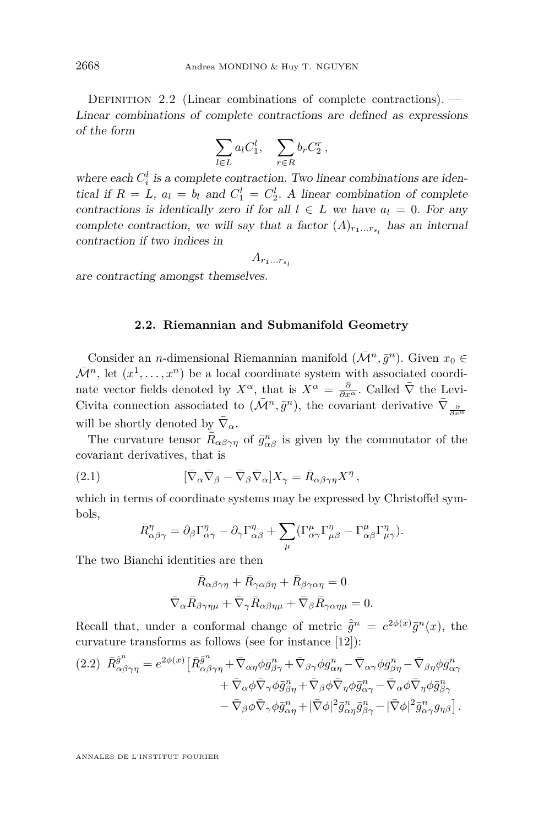<span id="page-6-0"></span>DEFINITION 2.2 (Linear combinations of complete contractions).  $-$ Linear combinations of complete contractions are defined as expressions of the form

$$
\sum_{l\in L} a_l C_1^l, \quad \sum_{r\in R} b_r C_2^r,
$$

where each  $C_i^l$  is a complete contraction. Two linear combinations are identical if  $R = L$ ,  $a_l = b_l$  and  $C_1^l = C_2^l$ . A linear combination of complete contractions is identically zero if for all  $l \in L$  we have  $a_l = 0$ . For any complete contraction, we will say that a factor  $(A)_{r_1...r_{s_l}}$  has an internal contraction if two indices in

$$
A_{r_1...r_{s_l}}
$$

are contracting amongst themselves.

#### **2.2. Riemannian and Submanifold Geometry**

<span id="page-6-3"></span>Consider an *n*-dimensional Riemannian manifold  $(\bar{\mathcal{M}}^n, \bar{g}^n)$ . Given  $x_0 \in$  $\bar{\mathcal{M}}^n$ , let  $(x^1, \ldots, x^n)$  be a local coordinate system with associated coordinate vector fields denoted by  $X^{\alpha}$ , that is  $X^{\alpha} = \frac{\partial}{\partial x^{\alpha}}$ . Called  $\overline{\nabla}$  the Levi-Civita connection associated to  $(\bar{\mathcal{M}}^n, \bar{g}^n)$ , the covariant derivative  $\bar{\nabla}_{\frac{\partial}{\partial x^\alpha}}$ will be shortly denoted by  $\bar{\nabla}_{\alpha}$ .

The curvature tensor  $\bar{R}_{\alpha\beta\gamma\eta}$  of  $\bar{g}^n_{\alpha\beta}$  is given by the commutator of the covariant derivatives, that is

<span id="page-6-1"></span>(2.1) 
$$
[\bar{\nabla}_{\alpha}\bar{\nabla}_{\beta}-\bar{\nabla}_{\beta}\bar{\nabla}_{\alpha}]X_{\gamma}=\bar{R}_{\alpha\beta\gamma\eta}X^{\eta},
$$

which in terms of coordinate systems may be expressed by Christoffel symbols,

$$
\bar{R}^{\eta}_{\alpha\beta\gamma} = \partial_{\beta}\Gamma^{\eta}_{\alpha\gamma} - \partial_{\gamma}\Gamma^{\eta}_{\alpha\beta} + \sum_{\mu} (\Gamma^{\mu}_{\alpha\gamma}\Gamma^{\eta}_{\mu\beta} - \Gamma^{\mu}_{\alpha\beta}\Gamma^{\eta}_{\mu\gamma}).
$$

The two Bianchi identities are then

$$
\bar{R}_{\alpha\beta\gamma\eta} + \bar{R}_{\gamma\alpha\beta\eta} + \bar{R}_{\beta\gamma\alpha\eta} = 0
$$
  

$$
\bar{\nabla}_{\alpha}\bar{R}_{\beta\gamma\eta\mu} + \bar{\nabla}_{\gamma}\bar{R}_{\alpha\beta\eta\mu} + \bar{\nabla}_{\beta}\bar{R}_{\gamma\alpha\eta\mu} = 0.
$$

Recall that, under a conformal change of metric  $\hat{g}^n = e^{2\phi(x)} \bar{g}^n(x)$ , the curvature transforms as follows (see for instance [\[12\]](#page-32-20)):

<span id="page-6-2"></span>
$$
(2.2) \quad \bar{R}^{\hat{g}^n}_{\alpha\beta\gamma\eta} = e^{2\phi(x)} \left[ \bar{R}^{\bar{g}^n}_{\alpha\beta\gamma\eta} + \bar{\nabla}_{\alpha\eta}\phi \bar{g}^n_{\beta\gamma} + \bar{\nabla}_{\beta\gamma}\phi \bar{g}^n_{\alpha\eta} - \bar{\nabla}_{\alpha\gamma}\phi \bar{g}^n_{\beta\eta} - \bar{\nabla}_{\beta\eta}\phi \bar{g}^n_{\alpha\gamma} \n+ \bar{\nabla}_{\alpha}\phi \bar{\nabla}_{\gamma}\phi \bar{g}^n_{\beta\eta} + \bar{\nabla}_{\beta}\phi \bar{\nabla}_{\eta}\phi \bar{g}^n_{\alpha\gamma} - \bar{\nabla}_{\alpha}\phi \bar{\nabla}_{\eta}\phi \bar{g}^n_{\beta\gamma} \n- \bar{\nabla}_{\beta}\phi \bar{\nabla}_{\gamma}\phi \bar{g}^n_{\alpha\eta} + |\bar{\nabla}\phi|^2 \bar{g}^n_{\alpha\eta} \bar{g}^n_{\beta\gamma} - |\bar{\nabla}\phi|^2 \bar{g}^n_{\alpha\gamma} g_{\eta\beta} \right].
$$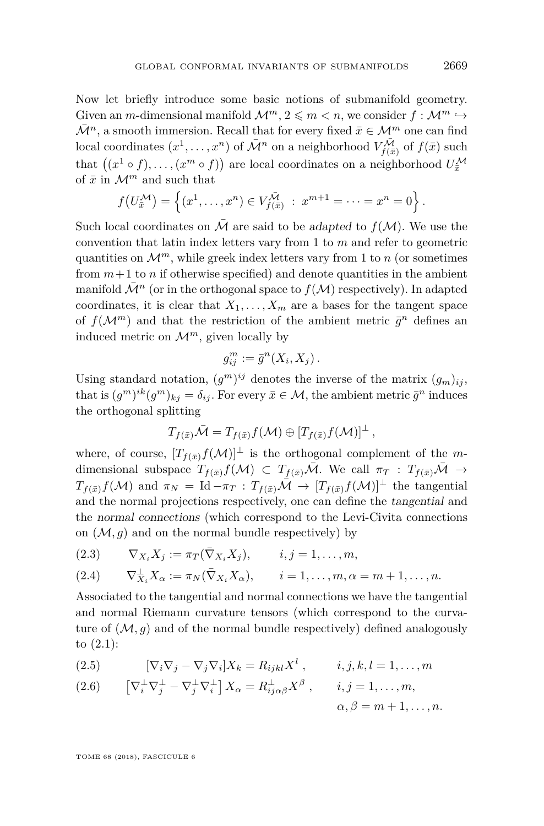Now let briefly introduce some basic notions of submanifold geometry. Given an *m*-dimensional manifold  $\mathcal{M}^m$ ,  $2 \leq m \leq n$ , we consider  $f : \mathcal{M}^m \hookrightarrow$  $\bar{\mathcal{M}}^n$ , a smooth immersion. Recall that for every fixed  $\bar{x} \in \mathcal{M}^m$  one can find local coordinates  $(x^1, \ldots, x^n)$  of  $\bar{\mathcal{M}}^n$  on a neighborhood  $V_{f(\bar{x})}^{\bar{\mathcal{M}}}$  of  $f(\bar{x})$  such that  $((x^1 \circ f), \ldots, (x^m \circ f))$  are local coordinates on a neighborhood  $U_{\bar{x}}^{\mathcal{M}}$ of  $\bar{x}$  in  $\mathcal{M}^m$  and such that

$$
f(U_{\bar{x}}^{\mathcal{M}}) = \left\{ (x^1, \dots, x^n) \in V_{f(\bar{x})}^{\bar{\mathcal{M}}} : x^{m+1} = \dots = x^n = 0 \right\}.
$$

Such local coordinates on  $\overline{\mathcal{M}}$  are said to be adapted to  $f(\mathcal{M})$ . We use the convention that latin index letters vary from 1 to *m* and refer to geometric quantities on  $\mathcal{M}^m$ , while greek index letters vary from 1 to *n* (or sometimes from  $m+1$  to *n* if otherwise specified) and denote quantities in the ambient manifold  $\overline{\mathcal{M}}^n$  (or in the orthogonal space to  $f(\mathcal{M})$  respectively). In adapted coordinates, it is clear that  $X_1, \ldots, X_m$  are a bases for the tangent space of  $f(\mathcal{M}^m)$  and that the restriction of the ambient metric  $\bar{g}^n$  defines an induced metric on  $\mathcal{M}^m$ , given locally by

$$
g_{ij}^m := \bar{g}^n(X_i, X_j) \, .
$$

Using standard notation,  $(g^m)^{ij}$  denotes the inverse of the matrix  $(g_m)_{ij}$ , that is  $(g^m)^{ik}(g^m)_{kj} = \delta_{ij}$ . For every  $\bar{x} \in \mathcal{M}$ , the ambient metric  $\bar{g}^n$  induces the orthogonal splitting

$$
T_{f(\bar{x})}\bar{\mathcal{M}}=T_{f(\bar{x})}f(\mathcal{M})\oplus [T_{f(\bar{x})}f(\mathcal{M})]^{\perp},
$$

where, of course,  $[T_{f(\bar{x})}f(\mathcal{M})]^{\perp}$  is the orthogonal complement of the *m*dimensional subspace  $T_{f(\bar{x})}f(\mathcal{M}) \subset T_{f(\bar{x})}\bar{\mathcal{M}}$ . We call  $\pi_T : T_{f(\bar{x})}\bar{\mathcal{M}} \to$  $T_{f(\bar{x})}f(\mathcal{M})$  and  $\pi_N = \text{Id} - \pi_T : T_{f(\bar{x})}\bar{\mathcal{M}} \to [T_{f(\bar{x})}f(\mathcal{M})]^{\perp}$  the tangential and the normal projections respectively, one can define the tangential and the normal connections (which correspond to the Levi-Civita connections on  $(M, g)$  and on the normal bundle respectively) by

$$
(2.3) \qquad \nabla_{X_i} X_j := \pi_T(\bar{\nabla}_{X_i} X_j), \qquad i, j = 1, \dots, m,
$$

$$
(2.4) \qquad \nabla_{X_i}^{\perp} X_{\alpha} := \pi_N(\bar{\nabla}_{X_i} X_{\alpha}), \qquad i = 1, \dots, m, \alpha = m+1, \dots, n.
$$

Associated to the tangential and normal connections we have the tangential and normal Riemann curvature tensors (which correspond to the curvature of  $(M, q)$  and of the normal bundle respectively) defined analogously to [\(2.1\)](#page-6-1):

(2.5) 
$$
[\nabla_i \nabla_j - \nabla_j \nabla_i] X_k = R_{ijkl} X^l, \qquad i, j, k, l = 1, ..., m
$$

<span id="page-7-0"></span>(2.6) 
$$
\left[\nabla_i^{\perp} \nabla_j^{\perp} - \nabla_j^{\perp} \nabla_i^{\perp}\right] X_{\alpha} = R_{ij\alpha\beta}^{\perp} X^{\beta} , \qquad i, j = 1, ..., m, \alpha, \beta = m + 1, ..., n.
$$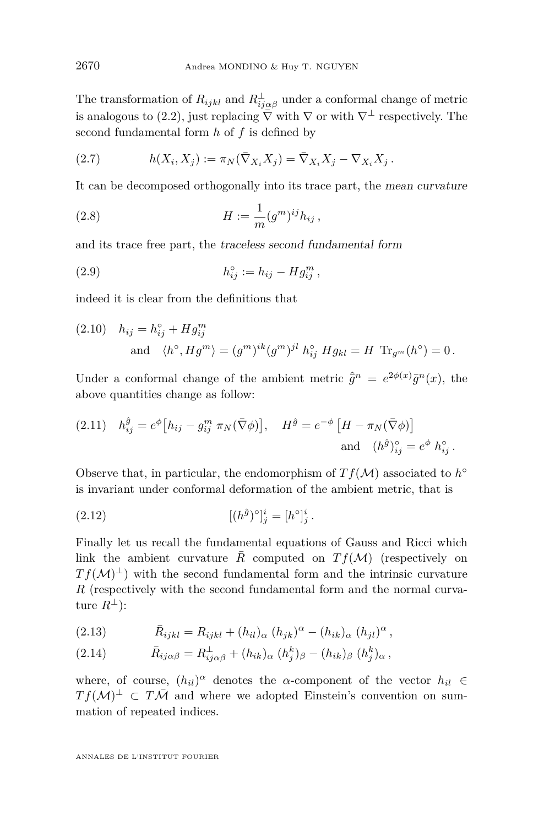The transformation of  $R_{ijkl}$  and  $R_{ij\alpha\beta}^{\perp}$  under a conformal change of metric is analogous to [\(2.2\)](#page-6-2), just replacing  $\bar{\nabla}$  with  $\nabla$  or with  $\nabla^{\perp}$  respectively. The second fundamental form *h* of *f* is defined by

(2.7) 
$$
h(X_i, X_j) := \pi_N(\bar{\nabla}_{X_i} X_j) = \bar{\nabla}_{X_i} X_j - \nabla_{X_i} X_j.
$$

It can be decomposed orthogonally into its trace part, the mean curvature

(2.8) 
$$
H := \frac{1}{m} (g^m)^{ij} h_{ij},
$$

and its trace free part, the traceless second fundamental form

<span id="page-8-2"></span>(2.9) 
$$
h_{ij}^{\circ} := h_{ij} - Hg_{ij}^{m},
$$

indeed it is clear from the definitions that

<span id="page-8-4"></span>(2.10) 
$$
h_{ij} = h_{ij}^{\circ} + Hg_{ij}^m
$$
  
and  $\langle h^{\circ}, Hg^m \rangle = (g^m)^{ik} (g^m)^{jl} h_{ij}^{\circ} Hg_{kl} = H \operatorname{Tr}_{g^m}(h^{\circ}) = 0.$ 

Under a conformal change of the ambient metric  $\hat{g}^n = e^{2\phi(x)} \bar{g}^n(x)$ , the above quantities change as follow:

<span id="page-8-3"></span>(2.11) 
$$
h_{ij}^{\hat{g}} = e^{\phi} \left[ h_{ij} - g_{ij}^m \pi_N(\bar{\nabla}\phi) \right], \quad H^{\hat{g}} = e^{-\phi} \left[ H - \pi_N(\bar{\nabla}\phi) \right]
$$
  
and  $(h^{\hat{g}})_{ij}^{\circ} = e^{\phi} h_{ij}^{\circ}$ .

Observe that, in particular, the endomorphism of  $Tf(\mathcal{M})$  associated to  $h^{\circ}$ is invariant under conformal deformation of the ambient metric, that is

(2.12) 
$$
[(h^{\hat{g}})^{\circ}]_{j}^{i} = [h^{\circ}]_{j}^{i}.
$$

Finally let us recall the fundamental equations of Gauss and Ricci which link the ambient curvature *R* computed on  $T f(M)$  (respectively on  $Tf(\mathcal{M})^{\perp}$  with the second fundamental form and the intrinsic curvature *R* (respectively with the second fundamental form and the normal curvature  $R^{\perp}$ :

<span id="page-8-0"></span>(2.13) 
$$
\bar{R}_{ijkl} = R_{ijkl} + (h_{il})_{\alpha} (h_{jk})^{\alpha} - (h_{ik})_{\alpha} (h_{jl})^{\alpha},
$$

<span id="page-8-1"></span>(2.14) 
$$
\bar{R}_{ij\alpha\beta} = R_{ij\alpha\beta}^{\perp} + (h_{ik})_{\alpha} (h_j^k)_{\beta} - (h_{ik})_{\beta} (h_j^k)_{\alpha},
$$

where, of course,  $(h_{il})^{\alpha}$  denotes the *α*-component of the vector  $h_{il} \in$  $Tf(\mathcal{M})^{\perp} \subset T\overline{\mathcal{M}}$  and where we adopted Einstein's convention on summation of repeated indices.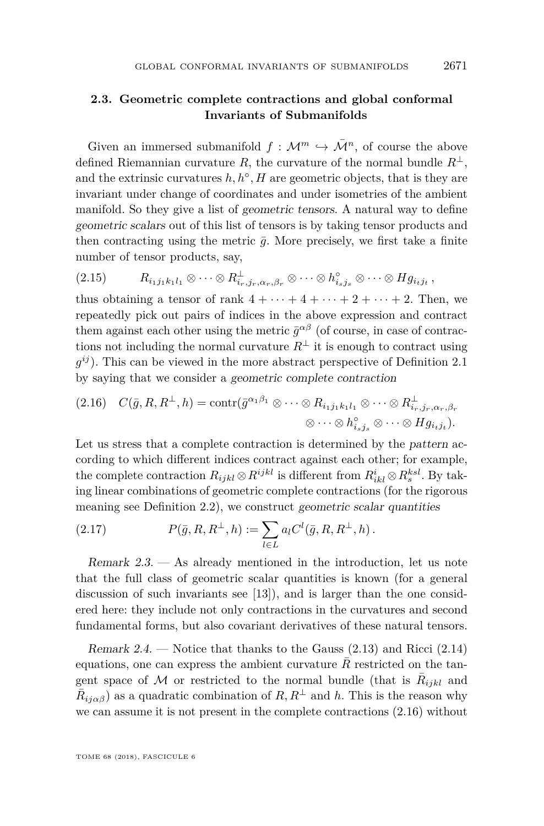#### **2.3. Geometric complete contractions and global conformal Invariants of Submanifolds**

Given an immersed submanifold  $f : \mathcal{M}^m \hookrightarrow \overline{\mathcal{M}}^n$ , of course the above defined Riemannian curvature *R*, the curvature of the normal bundle  $R^{\perp}$ , and the extrinsic curvatures  $h, h^{\circ}, H$  are geometric objects, that is they are invariant under change of coordinates and under isometries of the ambient manifold. So they give a list of geometric tensors. A natural way to define geometric scalars out of this list of tensors is by taking tensor products and then contracting using the metric  $\bar{g}$ . More precisely, we first take a finite number of tensor products, say,

$$
(2.15) \t\t R_{i_1j_1k_1l_1} \otimes \cdots \otimes R_{i_r,j_r,\alpha_r,\beta_r}^{\perp} \otimes \cdots \otimes h_{i_sj_s}^{\circ} \otimes \cdots \otimes H_{g_{i_tj_t}},
$$

thus obtaining a tensor of rank  $4 + \cdots + 4 + \cdots + 2 + \cdots + 2$ . Then, we repeatedly pick out pairs of indices in the above expression and contract them against each other using the metric  $\bar{g}^{\alpha\beta}$  (of course, in case of contractions not including the normal curvature  $R^{\perp}$  it is enough to contract using *g ij* ). This can be viewed in the more abstract perspective of Definition [2.1](#page-5-1) by saying that we consider a geometric complete contraction

<span id="page-9-0"></span>
$$
(2.16) \quad C(\bar{g}, R, R^{\perp}, h) = \text{contr}(\bar{g}^{\alpha_1 \beta_1} \otimes \cdots \otimes R_{i_1 j_1 k_1 l_1} \otimes \cdots \otimes R_{i_r, j_r, \alpha_r, \beta_r}^{\perp} \otimes \cdots \otimes R_{j_{i_r j_r}}^{\perp} \otimes \cdots \otimes R_{j_{i_r j_r}}^{\perp}).
$$

Let us stress that a complete contraction is determined by the pattern according to which different indices contract against each other; for example, the complete contraction  $R_{ijkl} \otimes R^{ijkl}$  is different from  $R^i_{ikl} \otimes R^{ksl}_s$ . By taking linear combinations of geometric complete contractions (for the rigorous meaning see Definition [2.2\)](#page-6-0), we construct geometric scalar quantities

<span id="page-9-1"></span>(2.17) 
$$
P(\bar{g}, R, R^{\perp}, h) := \sum_{l \in L} a_l C^l(\bar{g}, R, R^{\perp}, h).
$$

Remark 2.3. — As already mentioned in the introduction, let us note that the full class of geometric scalar quantities is known (for a general discussion of such invariants see [\[13\]](#page-32-7)), and is larger than the one considered here: they include not only contractions in the curvatures and second fundamental forms, but also covariant derivatives of these natural tensors.

Remark 2.4. — Notice that thanks to the Gauss  $(2.13)$  and Ricci  $(2.14)$ equations, one can express the ambient curvature  $R$  restricted on the tangent space of M or restricted to the normal bundle (that is  $\overline{R}_{ijkl}$  and  $\bar{R}_{ij\alpha\beta}$ ) as a quadratic combination of  $R, R^{\perp}$  and h. This is the reason why we can assume it is not present in the complete contractions [\(2.16\)](#page-9-0) without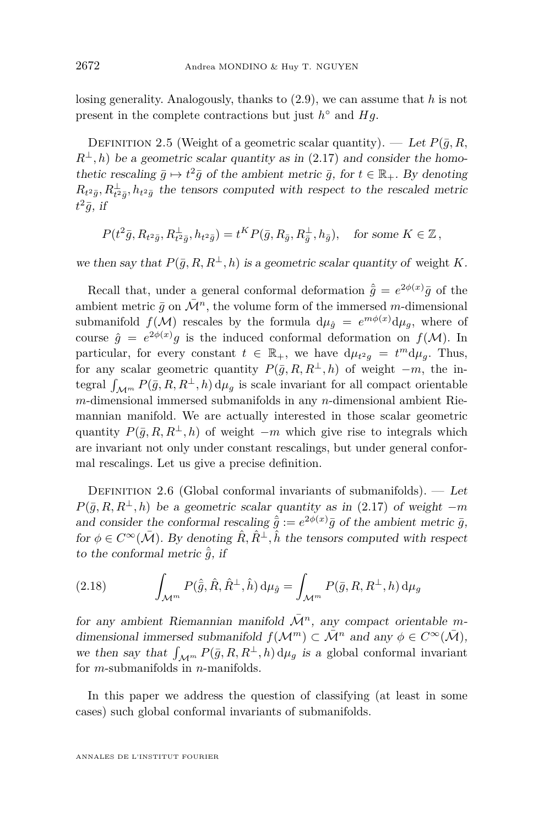losing generality. Analogously, thanks to [\(2.9\)](#page-8-2), we can assume that *h* is not present in the complete contractions but just  $h^{\circ}$  and  $Hg$ .

DEFINITION 2.5 (Weight of a geometric scalar quantity). — Let  $P(\bar{q}, R, \bar{r})$  $R^{\perp}, h$ ) be a geometric scalar quantity as in [\(2.17\)](#page-9-1) and consider the homothetic rescaling  $\bar{g} \mapsto t^2 \bar{g}$  of the ambient metric  $\bar{g}$ , for  $t \in \mathbb{R}_+$ . By denoting  $R_{t^2\bar{g}}, R_{t^2\bar{g}}^{\perp}, h_{t^2\bar{g}}$  the tensors computed with respect to the rescaled metric  $t^2\bar{g}$ , if

$$
P(t^2\bar{g}, R_{t^2\bar{g}}, R_{t^2\bar{g}}^{\perp}, h_{t^2\bar{g}}) = t^K P(\bar{g}, R_{\bar{g}}, R_{\bar{g}}^{\perp}, h_{\bar{g}}), \text{ for some } K \in \mathbb{Z},
$$

we then say that  $P(\bar{g}, R, R^{\perp}, h)$  is a geometric scalar quantity of weight *K*.

Recall that, under a general conformal deformation  $\hat{\bar{g}} = e^{2\phi(x)}\bar{g}$  of the ambient metric  $\bar{q}$  on  $\bar{\mathcal{M}}^n$ , the volume form of the immersed *m*-dimensional submanifold  $f(\mathcal{M})$  rescales by the formula  $d\mu_{\hat{g}} = e^{m\phi(x)}d\mu_{g}$ , where of course  $\hat{g} = e^{2\phi(x)}g$  is the induced conformal deformation on  $f(\mathcal{M})$ . In particular, for every constant  $t \in \mathbb{R}_+$ , we have  $d\mu_{t^2g} = t^m d\mu_g$ . Thus, for any scalar geometric quantity  $P(\bar{g}, R, R^{\perp}, h)$  of weight  $-m$ , the integral  $\int_{\mathcal{M}^m} P(\bar{g}, R, R^{\perp}, h) d\mu_g$  is scale invariant for all compact orientable *m*-dimensional immersed submanifolds in any *n*-dimensional ambient Riemannian manifold. We are actually interested in those scalar geometric quantity  $P(\bar{g}, R, R^{\perp}, h)$  of weight −*m* which give rise to integrals which are invariant not only under constant rescalings, but under general conformal rescalings. Let us give a precise definition.

<span id="page-10-1"></span>DEFINITION 2.6 (Global conformal invariants of submanifolds).  $-$  Let  $P(\bar{q}, R, R^{\perp}, h)$  be a geometric scalar quantity as in [\(2.17\)](#page-9-1) of weight  $-m$ and consider the conformal rescaling  $\hat{\bar{g}} := e^{2\phi(x)}\bar{g}$  of the ambient metric  $\bar{g}$ , for  $\phi \in C^{\infty}(\bar{\mathcal{M}})$ . By denoting  $\hat{R}, \hat{R}^{\perp}, \hat{h}$  the tensors computed with respect to the conformal metric  $\hat{\bar{q}}$ , if

<span id="page-10-0"></span>(2.18) 
$$
\int_{\mathcal{M}^m} P(\hat{\bar{g}}, \hat{R}, \hat{R}^\perp, \hat{h}) \, \mathrm{d}\mu_{\hat{g}} = \int_{\mathcal{M}^m} P(\bar{g}, R, R^\perp, h) \, \mathrm{d}\mu_g
$$

for any ambient Riemannian manifold  $\overline{\mathcal{M}}^n$ , any compact orientable mdimensional immersed submanifold  $f(\mathcal{M}^m) \subset \overline{\mathcal{M}}^n$  and any  $\phi \in C^{\infty}(\overline{\mathcal{M}})$ , we then say that  $\int_{\mathcal{M}^m} P(\bar{g}, R, R^{\perp}, h) d\mu_g$  is a global conformal invariant for *m*-submanifolds in *n*-manifolds.

In this paper we address the question of classifying (at least in some cases) such global conformal invariants of submanifolds.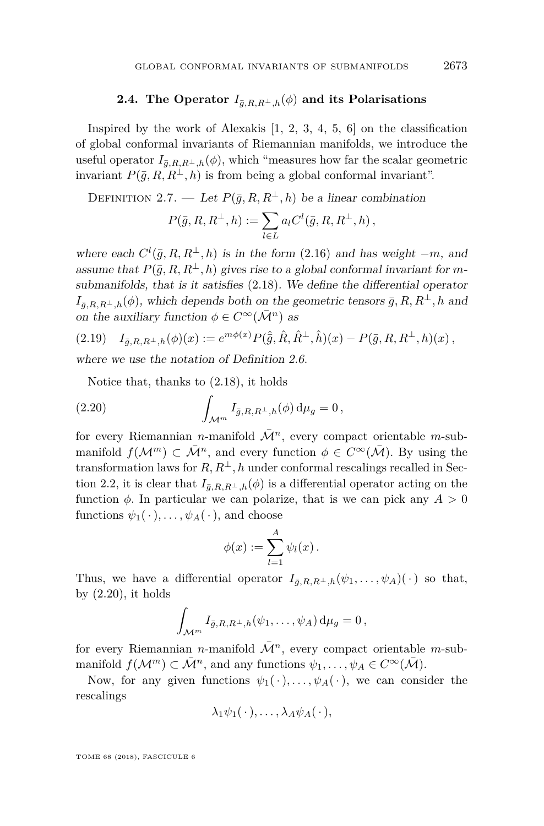#### **2.4.** The Operator  $I_{\bar{g},R,R^{\perp},h}(\phi)$  and its Polarisations

<span id="page-11-1"></span>Inspired by the work of Alexakis [\[1,](#page-32-1) [2,](#page-32-2) [3,](#page-32-3) [4,](#page-32-4) [5,](#page-32-5) [6\]](#page-32-6) on the classification of global conformal invariants of Riemannian manifolds, we introduce the useful operator  $I_{\bar{g},R,R^{\perp},h}(\phi)$ , which "measures how far the scalar geometric invariant  $P(\bar{g}, R, R^{\perp}, h)$  is from being a global conformal invariant".

DEFINITION 2.7. — Let  $P(\bar{g}, R, R^{\perp}, h)$  be a linear combination

$$
P(\bar{g}, R, R^{\perp}, h) := \sum_{l \in L} a_l C^l(\bar{g}, R, R^{\perp}, h) ,
$$

where each  $C^l(\bar{g}, R, R^{\perp}, h)$  is in the form [\(2.16\)](#page-9-0) and has weight  $-m$ , and assume that  $P(\bar{g}, R, R^{\perp}, h)$  gives rise to a global conformal invariant for *m*submanifolds, that is it satisfies [\(2.18\)](#page-10-0). We define the differential operator  $I_{\bar{g},R,R^{\perp},h}(\phi)$ , which depends both on the geometric tensors  $\bar{g}, R, R^{\perp}, h$  and on the auxiliary function  $\phi \in C^{\infty}(\bar{\mathcal{M}}^n)$  as

$$
(2.19) \quad I_{\bar{g},R,R^{\perp},h}(\phi)(x) := e^{m\phi(x)} P(\hat{g},\hat{R},\hat{R}^{\perp},\hat{h})(x) - P(\bar{g},R,R^{\perp},h)(x) \,,
$$

where we use the notation of Definition [2.6.](#page-10-1)

<span id="page-11-0"></span>Notice that, thanks to [\(2.18\)](#page-10-0), it holds

(2.20) 
$$
\int_{\mathcal{M}^m} I_{\bar{g},R,R^{\perp},h}(\phi) d\mu_g = 0,
$$

for every Riemannian *n*-manifold  $\overline{\mathcal{M}}^n$ , every compact orientable *m*-submanifold  $f(\mathcal{M}^m) \subset \overline{\mathcal{M}}^n$ , and every function  $\phi \in C^{\infty}(\overline{\mathcal{M}})$ . By using the transformation laws for  $R, R^{\perp}, h$  under conformal rescalings recalled in Sec-tion [2.2,](#page-6-3) it is clear that  $I_{\bar{g},R,R^{\perp},h}(\phi)$  is a differential operator acting on the function  $\phi$ . In particular we can polarize, that is we can pick any  $A > 0$ functions  $\psi_1(\cdot), \ldots, \psi_A(\cdot)$ , and choose

$$
\phi(x) := \sum_{l=1}^A \psi_l(x) .
$$

Thus, we have a differential operator  $I_{\bar{g},R,R^{\perp},h}(\psi_1,\ldots,\psi_A)(\cdot)$  so that, by  $(2.20)$ , it holds

$$
\int_{\mathcal{M}^m} I_{\bar{g},R,R^{\perp},h}(\psi_1,\ldots,\psi_A) d\mu_g = 0,
$$

for every Riemannian *n*-manifold  $\overline{\mathcal{M}}^n$ , every compact orientable *m*-submanifold  $f(\mathcal{M}^m) \subset \overline{\mathcal{M}}^n$ , and any functions  $\psi_1, \ldots, \psi_A \in C^{\infty}(\overline{\mathcal{M}})$ .

Now, for any given functions  $\psi_1(\cdot), \ldots, \psi_A(\cdot)$ , we can consider the rescalings

$$
\lambda_1 \psi_1(\cdot), \ldots, \lambda_A \psi_A(\cdot),
$$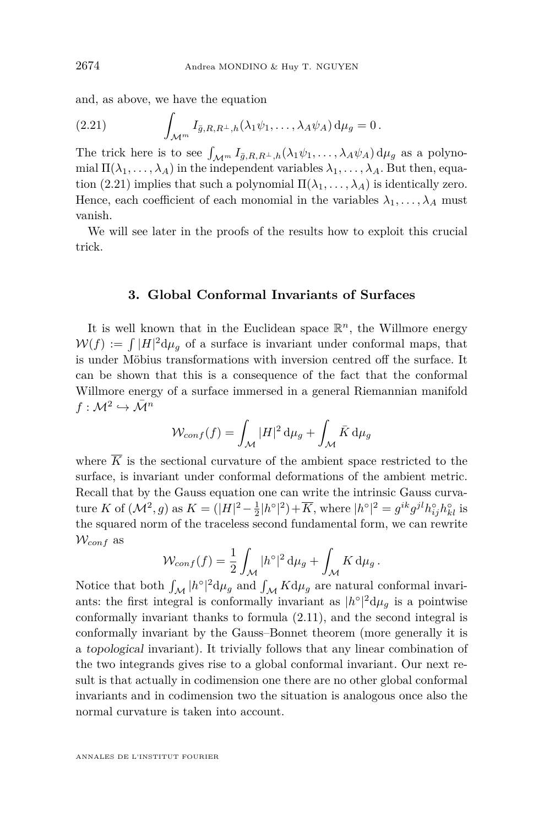and, as above, we have the equation

<span id="page-12-0"></span>(2.21) 
$$
\int_{\mathcal{M}^m} I_{\bar{g},R,R^{\perp},h}(\lambda_1 \psi_1,\ldots,\lambda_A \psi_A) d\mu_g = 0.
$$

The trick here is to see  $\int_{\mathcal{M}^m} I_{\bar{g},R,R^{\perp},h}(\lambda_1 \psi_1, \ldots, \lambda_A \psi_A) d\mu_g$  as a polynomial  $\Pi(\lambda_1,\ldots,\lambda_A)$  in the independent variables  $\lambda_1,\ldots,\lambda_A$ . But then, equa-tion [\(2.21\)](#page-12-0) implies that such a polynomial  $\Pi(\lambda_1, \ldots, \lambda_A)$  is identically zero. Hence, each coefficient of each monomial in the variables  $\lambda_1, \ldots, \lambda_A$  must vanish.

We will see later in the proofs of the results how to exploit this crucial trick.

#### **3. Global Conformal Invariants of Surfaces**

It is well known that in the Euclidean space  $\mathbb{R}^n$ , the Willmore energy  $W(f) := \int |H|^2 d\mu_g$  of a surface is invariant under conformal maps, that is under Möbius transformations with inversion centred off the surface. It can be shown that this is a consequence of the fact that the conformal Willmore energy of a surface immersed in a general Riemannian manifold  $f: \mathcal{M}^2 \hookrightarrow \bar{\mathcal{M}}^n$ 

$$
W_{conf}(f) = \int_{\mathcal{M}} |H|^2 \, \mathrm{d}\mu_g + \int_{\mathcal{M}} \bar{K} \, \mathrm{d}\mu_g
$$

where  $\overline{K}$  is the sectional curvature of the ambient space restricted to the surface, is invariant under conformal deformations of the ambient metric. Recall that by the Gauss equation one can write the intrinsic Gauss curvature *K* of  $(\mathcal{M}^2, g)$  as  $K = (|H|^2 - \frac{1}{2}|h^{\circ}|^2) + \overline{K}$ , where  $|h^{\circ}|^2 = g^{ik}g^{jl}h_{ij}^{\circ}h_{kl}^{\circ}$  is the squared norm of the traceless second fundamental form, we can rewrite W*conf* as

$$
\mathcal{W}_{conf}(f) = \frac{1}{2} \int_{\mathcal{M}} |h^{\circ}|^2 \, \mathrm{d}\mu_g + \int_{\mathcal{M}} K \, \mathrm{d}\mu_g \, .
$$

Notice that both  $\int_{\mathcal{M}} |h^{\circ}|^2 d\mu_g$  and  $\int_{\mathcal{M}} K d\mu_g$  are natural conformal invariants: the first integral is conformally invariant as  $|h^{\circ}|^2 d\mu_g$  is a pointwise conformally invariant thanks to formula [\(2.11\)](#page-8-3), and the second integral is conformally invariant by the Gauss–Bonnet theorem (more generally it is a topological invariant). It trivially follows that any linear combination of the two integrands gives rise to a global conformal invariant. Our next result is that actually in codimension one there are no other global conformal invariants and in codimension two the situation is analogous once also the normal curvature is taken into account.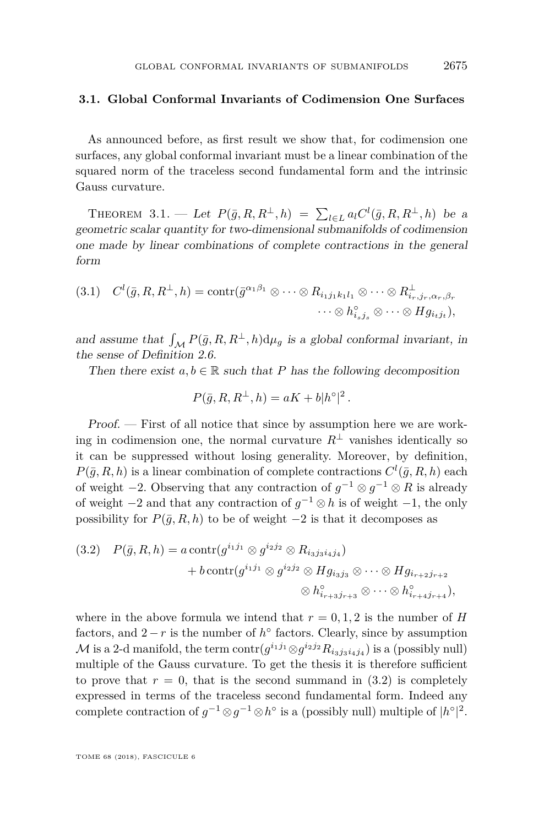#### **3.1. Global Conformal Invariants of Codimension One Surfaces**

As announced before, as first result we show that, for codimension one surfaces, any global conformal invariant must be a linear combination of the squared norm of the traceless second fundamental form and the intrinsic Gauss curvature.

<span id="page-13-0"></span>THEOREM 3.1. — Let  $P(\bar{g}, R, R^{\perp}, h) = \sum_{l \in L} a_l C^l(\bar{g}, R, R^{\perp}, h)$  be a geometric scalar quantity for two-dimensional submanifolds of codimension one made by linear combinations of complete contractions in the general form

$$
(3.1) \quad C^l(\bar{g}, R, R^{\perp}, h) = \text{contr}(\bar{g}^{\alpha_1 \beta_1} \otimes \cdots \otimes R_{i_1 j_1 k_1 l_1} \otimes \cdots \otimes R_{i_r, j_r, \alpha_r, \beta_r}^{\perp} \cdots \otimes R_{i_s j_s}^{\perp} \otimes \cdots \otimes H g_{i_t j_t}),
$$

and assume that  $\int_{\mathcal{M}} P(\bar{g}, R, R^{\perp}, h) d\mu_g$  is a global conformal invariant, in the sense of Definition [2.6.](#page-10-1)

Then there exist  $a, b \in \mathbb{R}$  such that *P* has the following decomposition

$$
P(\bar{g}, R, R^{\perp}, h) = aK + b|h^{\circ}|^{2}.
$$

Proof. — First of all notice that since by assumption here we are working in codimension one, the normal curvature  $R^{\perp}$  vanishes identically so it can be suppressed without losing generality. Moreover, by definition,  $P(\bar{g}, R, h)$  is a linear combination of complete contractions  $C^l(\bar{g}, R, h)$  each of weight  $-2$ . Observing that any contraction of  $g^{-1} \otimes g^{-1} \otimes R$  is already of weight −2 and that any contraction of *g* <sup>−</sup><sup>1</sup> ⊗ *h* is of weight −1, the only possibility for  $P(\bar{q}, R, h)$  to be of weight  $-2$  is that it decomposes as

<span id="page-13-1"></span>
$$
(3.2) \quad P(\bar{g}, R, h) = a \operatorname{contr}(g^{i_1 j_1} \otimes g^{i_2 j_2} \otimes R_{i_3 j_3 i_4 j_4})
$$

$$
+ b \operatorname{contr}(g^{i_1 j_1} \otimes g^{i_2 j_2} \otimes H g_{i_3 j_3} \otimes \cdots \otimes H g_{i_{r+2} j_{r+2}}
$$

$$
\otimes h_{i_{r+3} j_{r+3}}^{\circ} \otimes \cdots \otimes h_{i_{r+4} j_{r+4}}^{\circ}),
$$

where in the above formula we intend that  $r = 0, 1, 2$  is the number of *H* factors, and  $2 - r$  is the number of  $h^{\circ}$  factors. Clearly, since by assumption  $\mathcal{M}$  is a 2-d manifold, the term  $\text{contr}(g^{i_1j_1} \otimes g^{i_2j_2} R_{i_3j_3i_4j_4})$  is a (possibly null) multiple of the Gauss curvature. To get the thesis it is therefore sufficient to prove that  $r = 0$ , that is the second summand in  $(3.2)$  is completely expressed in terms of the traceless second fundamental form. Indeed any complete contraction of  $g^{-1} \otimes g^{-1} \otimes h^{\circ}$  is a (possibly null) multiple of  $|h^{\circ}|^2$ .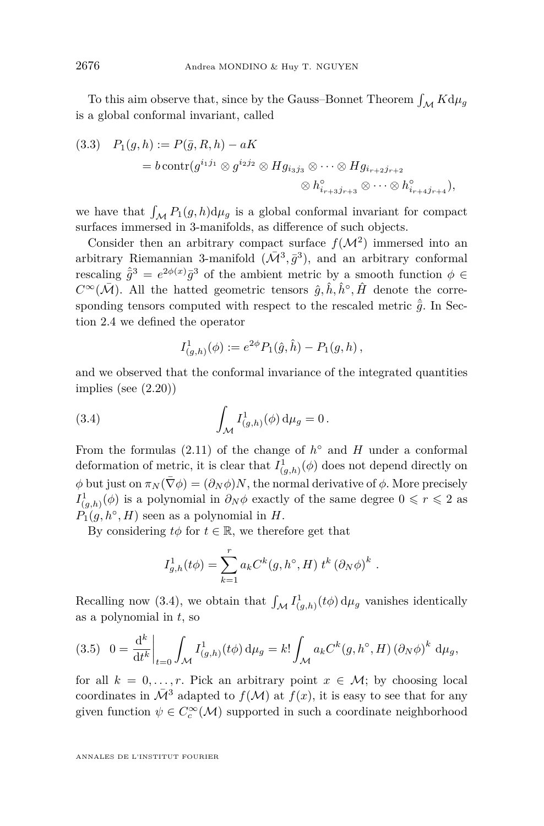To this aim observe that, since by the Gauss–Bonnet Theorem  $\int_{\mathcal M} K \mathrm{d} \mu_g$ is a global conformal invariant, called

(3.3) 
$$
P_1(g, h) := P(\bar{g}, R, h) - aK
$$

$$
= b \operatorname{contr}(g^{i_1 j_1} \otimes g^{i_2 j_2} \otimes H g_{i_3 j_3} \otimes \cdots \otimes H g_{i_{r+2} j_{r+2}}
$$

$$
\otimes h_{i_{r+3} j_{r+3}}^{\circ} \otimes \cdots \otimes h_{i_{r+4} j_{r+4}}^{\circ}),
$$

we have that  $\int_{\mathcal{M}} P_1(g, h) d\mu_g$  is a global conformal invariant for compact surfaces immersed in 3-manifolds, as difference of such objects.

Consider then an arbitrary compact surface  $f(M^2)$  immersed into an arbitrary Riemannian 3-manifold  $(\bar{\mathcal{M}}^3, \bar{g}^3)$ , and an arbitrary conformal rescaling  $\hat{\bar{g}}^3 = e^{2\phi(x)}\bar{g}^3$  of the ambient metric by a smooth function  $\phi \in$  $C^{\infty}(\bar{\mathcal{M}})$ . All the hatted geometric tensors  $\hat{g}, \hat{h}, \hat{h}^{\circ}, \hat{H}$  denote the corresponding tensors computed with respect to the rescaled metric  $\hat{\bar{q}}$ . In Section [2.4](#page-11-1) we defined the operator

<span id="page-14-0"></span>
$$
I^1_{(g,h)}(\phi) := e^{2\phi} P_1(\hat{g}, \hat{h}) - P_1(g, h) ,
$$

and we observed that the conformal invariance of the integrated quantities implies (see [\(2.20\)](#page-11-0))

(3.4) 
$$
\int_{\mathcal{M}} I^1_{(g,h)}(\phi) d\mu_g = 0.
$$

From the formulas  $(2.11)$  of the change of  $h^{\circ}$  and  $H$  under a conformal deformation of metric, it is clear that  $I^1_{(g,h)}(\phi)$  does not depend directly on  $φ$  but just on  $\pi_N(\bar{\nabla}φ) = (∂_Nφ)N$ , the normal derivative of  $φ$ . More precisely  $I^1_{(g,h)}(\phi)$  is a polynomial in  $\partial_N \phi$  exactly of the same degree  $0 \leq r \leq 2$  as  $P_1(g, h^{\circ}, H)$  seen as a polynomial in *H*.

By considering  $t\phi$  for  $t \in \mathbb{R}$ , we therefore get that

$$
I_{g,h}^{1}(t\phi) = \sum_{k=1}^{r} a_k C^{k}(g,h^{\circ},H) t^{k} (\partial_N \phi)^{k} .
$$

Recalling now [\(3.4\)](#page-14-0), we obtain that  $\int_{\mathcal{M}} I^1_{(g,h)}(t\phi) d\mu_g$  vanishes identically as a polynomial in *t*, so

<span id="page-14-1"></span>
$$
(3.5) \quad 0 = \frac{\mathrm{d}^k}{\mathrm{d}t^k} \bigg|_{t=0} \int_{\mathcal{M}} I^1_{(g,h)}(t\phi) \,\mathrm{d}\mu_g = k! \int_{\mathcal{M}} a_k C^k(g,h^\circ,H) \left(\partial_N \phi\right)^k \,\mathrm{d}\mu_g,
$$

for all  $k = 0, \ldots, r$ . Pick an arbitrary point  $x \in \mathcal{M}$ ; by choosing local coordinates in  $\overline{\mathcal{M}}^3$  adapted to  $f(\mathcal{M})$  at  $f(x)$ , it is easy to see that for any given function  $\psi \in C_c^{\infty}(\mathcal{M})$  supported in such a coordinate neighborhood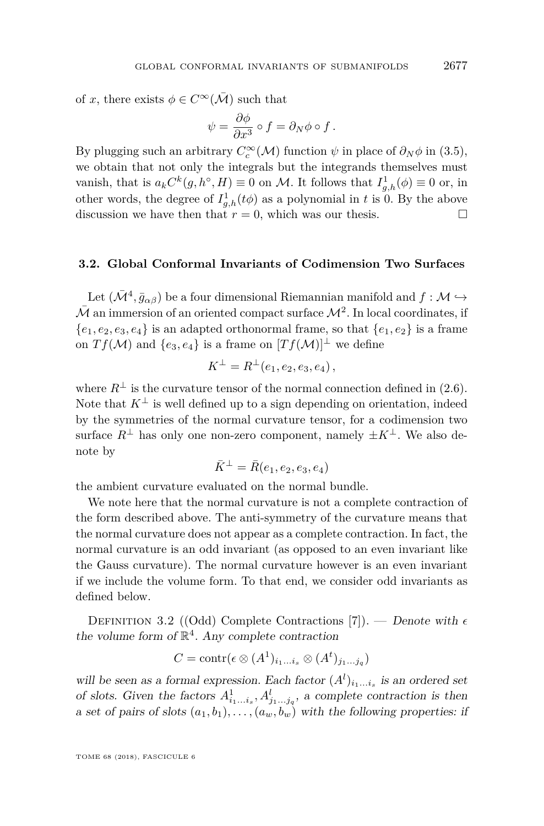of *x*, there exists  $\phi \in C^{\infty}(\overline{\mathcal{M}})$  such that

$$
\psi = \frac{\partial \phi}{\partial x^3} \circ f = \partial_N \phi \circ f.
$$

By plugging such an arbitrary  $C_c^{\infty}(\mathcal{M})$  function  $\psi$  in place of  $\partial_N \phi$  in [\(3.5\)](#page-14-1), we obtain that not only the integrals but the integrands themselves must vanish, that is  $a_k C^k(g, h^{\circ}, H) \equiv 0$  on M. It follows that  $I_{g,h}^1(\phi) \equiv 0$  or, in other words, the degree of  $I_{g,h}^1(t\phi)$  as a polynomial in *t* is 0. By the above discussion we have then that  $r = 0$ , which was our thesis.

#### **3.2. Global Conformal Invariants of Codimension Two Surfaces**

Let  $(\bar{\mathcal{M}}^4, \bar{g}_{\alpha\beta})$  be a four dimensional Riemannian manifold and  $f : \mathcal{M} \hookrightarrow$  $\bar{\mathcal{M}}$  an immersion of an oriented compact surface  $\mathcal{M}^2$ . In local coordinates, if  ${e_1, e_2, e_3, e_4}$  is an adapted orthonormal frame, so that  ${e_1, e_2}$  is a frame on  $Tf(\mathcal{M})$  and  $\{e_3, e_4\}$  is a frame on  $[Tf(\mathcal{M})]^{\perp}$  we define

$$
K^{\perp} = R^{\perp}(e_1, e_2, e_3, e_4),
$$

where  $R^{\perp}$  is the curvature tensor of the normal connection defined in [\(2.6\)](#page-7-0). Note that  $K^{\perp}$  is well defined up to a sign depending on orientation, indeed by the symmetries of the normal curvature tensor, for a codimension two surface  $R^{\perp}$  has only one non-zero component, namely  $\pm K^{\perp}$ . We also denote by

$$
\bar{K}^{\perp} = \bar{R}(e_1, e_2, e_3, e_4)
$$

the ambient curvature evaluated on the normal bundle.

We note here that the normal curvature is not a complete contraction of the form described above. The anti-symmetry of the curvature means that the normal curvature does not appear as a complete contraction. In fact, the normal curvature is an odd invariant (as opposed to an even invariant like the Gauss curvature). The normal curvature however is an even invariant if we include the volume form. To that end, we consider odd invariants as defined below.

DEFINITION 3.2 ((Odd) Complete Contractions [\[7\]](#page-32-21)). — Denote with  $\epsilon$ the volume form of  $\mathbb{R}^4$ . Any complete contraction

$$
C = \text{contr}(\epsilon \otimes (A^1)_{i_1...i_s} \otimes (A^t)_{j_1...j_q})
$$

will be seen as a formal expression. Each factor  $(A^l)_{i_1...i_s}$  is an ordered set of slots. Given the factors  $A^1_{i_1...i_s}, A^l_{j_1...j_q}$ , a complete contraction is then a set of pairs of slots  $(a_1, b_1), \ldots, (a_w, b_w)$  with the following properties: if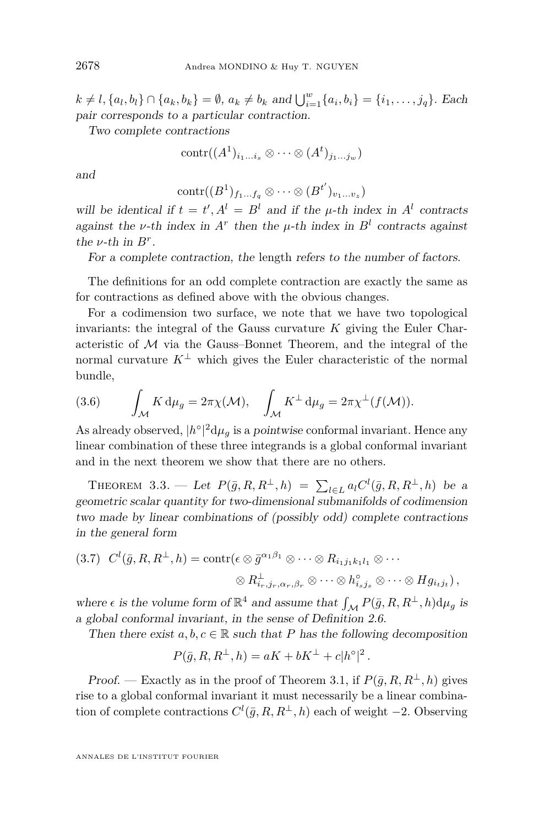$k \neq l, \{a_l, b_l\} \cap \{a_k, b_k\} = \emptyset$ ,  $a_k \neq b_k$  and  $\bigcup_{i=1}^w \{a_i, b_i\} = \{i_1, \ldots, j_q\}$ . Each pair corresponds to a particular contraction.

Two complete contractions

$$
contr((A1)i1...is \otimes \cdots \otimes (At)j1...jw)
$$

and

$$
\operatorname{contr}((B^1)_{f_1...f_q}\otimes\cdots\otimes(B^{t'})_{v_1...v_z})
$$

will be identical if  $t = t'$ ,  $A^l = B^l$  and if the  $\mu$ -th index in  $A^l$  contracts against the *v*-th index in  $A^r$  then the *µ*-th index in  $B^l$  contracts against the  $\nu$ -th in  $B^r$ .

For a complete contraction, the length refers to the number of factors.

The definitions for an odd complete contraction are exactly the same as for contractions as defined above with the obvious changes.

For a codimension two surface, we note that we have two topological invariants: the integral of the Gauss curvature *K* giving the Euler Characteristic of  $M$  via the Gauss–Bonnet Theorem, and the integral of the normal curvature  $K^{\perp}$  which gives the Euler characteristic of the normal bundle,

<span id="page-16-1"></span>(3.6) 
$$
\int_{\mathcal{M}} K d\mu_g = 2\pi \chi(\mathcal{M}), \quad \int_{\mathcal{M}} K^{\perp} d\mu_g = 2\pi \chi^{\perp}(f(\mathcal{M})).
$$

As already observed,  $|h^{\circ}|^2 d\mu_g$  is a pointwise conformal invariant. Hence any linear combination of these three integrands is a global conformal invariant and in the next theorem we show that there are no others.

<span id="page-16-0"></span>THEOREM 3.3. — Let  $P(\bar{g}, R, R^{\perp}, h) = \sum_{l \in L} a_l C^l(\bar{g}, R, R^{\perp}, h)$  be a geometric scalar quantity for two-dimensional submanifolds of codimension two made by linear combinations of (possibly odd) complete contractions in the general form

$$
(3.7) \quad C^l(\bar{g}, R, R^{\perp}, h) = \text{contr}(\epsilon \otimes \bar{g}^{\alpha_1 \beta_1} \otimes \cdots \otimes R_{i_1 j_1 k_1 l_1} \otimes \cdots
$$

$$
\otimes R_{i_r, j_r, \alpha_r, \beta_r}^{\perp} \otimes \cdots \otimes h_{i_s j_s}^{\circ} \otimes \cdots \otimes H g_{i_t j_t}),
$$

where  $\epsilon$  is the volume form of  $\mathbb{R}^4$  and assume that  $\int_{\mathcal{M}} P(\bar{g}, R, R^{\perp}, h) d\mu_g$  is a global conformal invariant, in the sense of Definition [2.6.](#page-10-1)

Then there exist  $a, b, c \in \mathbb{R}$  such that *P* has the following decomposition

$$
P(\bar{g}, R, R^{\perp}, h) = aK + bK^{\perp} + c|h^{\circ}|^{2}.
$$

*Proof.* — Exactly as in the proof of Theorem [3.1,](#page-13-0) if  $P(\bar{g}, R, R^{\perp}, h)$  gives rise to a global conformal invariant it must necessarily be a linear combination of complete contractions  $C^l(\bar{g}, R, R^{\perp}, h)$  each of weight −2. Observing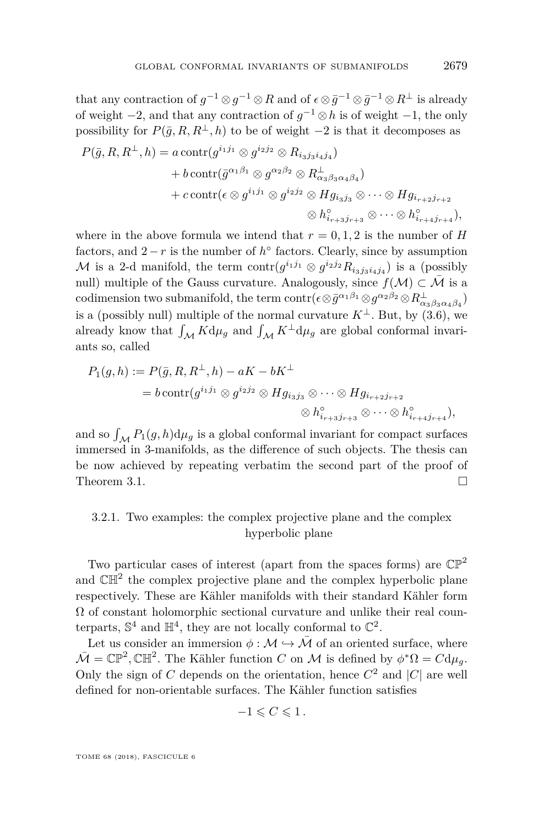that any contraction of  $g^{-1} \otimes g^{-1} \otimes R$  and of  $\epsilon \otimes \bar{g}^{-1} \otimes \bar{g}^{-1} \otimes R^{\perp}$  is already of weight −2, and that any contraction of *g* <sup>−</sup><sup>1</sup> ⊗*h* is of weight −1, the only possibility for  $P(\bar{q}, R, R^{\perp}, h)$  to be of weight −2 is that it decomposes as

$$
P(\bar{g}, R, R^{\perp}, h) = a \operatorname{contr}(g^{i_1 j_1} \otimes g^{i_2 j_2} \otimes R_{i_3 j_3 i_4 j_4})
$$
  
+  $b \operatorname{contr}(\bar{g}^{\alpha_1 \beta_1} \otimes g^{\alpha_2 \beta_2} \otimes R_{\alpha_3 \beta_3 \alpha_4 \beta_4}^{\perp})$   
+  $c \operatorname{contr}(\epsilon \otimes g^{i_1 j_1} \otimes g^{i_2 j_2} \otimes H g_{i_3 j_3} \otimes \cdots \otimes H g_{i_{r+2} j_{r+2}}$   
 $\otimes h^{\circ}_{i_{r+3} j_{r+3}} \otimes \cdots \otimes h^{\circ}_{i_{r+4} j_{r+4}}),$ 

where in the above formula we intend that  $r = 0, 1, 2$  is the number of *H* factors, and  $2 - r$  is the number of  $h^{\circ}$  factors. Clearly, since by assumption M is a 2-d manifold, the term  $\text{contr}(g^{i_1j_1} \otimes g^{i_2j_2}R_{i_3j_3i_4j_4})$  is a (possibly null) multiple of the Gauss curvature. Analogously, since  $f(\mathcal{M}) \subset \overline{\mathcal{M}}$  is a  $\text{codimension two submanifold, the term } \text{contr}(\epsilon \otimes \bar{g}^{\alpha_1 \beta_1} \otimes g^{\alpha_2 \beta_2} \otimes R_{\alpha_3 \beta_3 \alpha_4 \beta_4}^{\perp})$ is a (possibly null) multiple of the normal curvature  $K^{\perp}$ . But, by [\(3.6\)](#page-16-1), we already know that  $\int_{\mathcal{M}} K d\mu_g$  and  $\int_{\mathcal{M}} K^{\perp} d\mu_g$  are global conformal invariants so, called

$$
P_1(g, h) := P(\bar{g}, R, R^{\perp}, h) - aK - bK^{\perp}
$$
  
=  $b \operatorname{contr}(g^{i_1 j_1} \otimes g^{i_2 j_2} \otimes H g_{i_3 j_3} \otimes \cdots \otimes H g_{i_{r+2} j_{r+2}}$   

$$
\otimes h^{\circ}_{i_{r+3} j_{r+3}} \otimes \cdots \otimes h^{\circ}_{i_{r+4} j_{r+4}}),
$$

and so  $\int_{\mathcal{M}} P_1(g, h) d\mu_g$  is a global conformal invariant for compact surfaces immersed in 3-manifolds, as the difference of such objects. The thesis can be now achieved by repeating verbatim the second part of the proof of Theorem [3.1.](#page-13-0)  $\Box$ 

#### 3.2.1. Two examples: the complex projective plane and the complex hyperbolic plane

Two particular cases of interest (apart from the spaces forms) are  $\mathbb{CP}^2$ and  $\mathbb{CH}^2$  the complex projective plane and the complex hyperbolic plane respectively. These are Kähler manifolds with their standard Kähler form  $\Omega$  of constant holomorphic sectional curvature and unlike their real counterparts,  $\mathbb{S}^4$  and  $\mathbb{H}^4$ , they are not locally conformal to  $\mathbb{C}^2$ .

Let us consider an immersion  $\phi : \mathcal{M} \hookrightarrow \overline{\mathcal{M}}$  of an oriented surface, where  $\overline{\mathcal{M}} = \mathbb{CP}^2$ ,  $\mathbb{CH}^2$ . The Kähler function *C* on *M* is defined by  $\phi^* \Omega = C d\mu_g$ . Only the sign of *C* depends on the orientation, hence  $C^2$  and  $|C|$  are well defined for non-orientable surfaces. The Kähler function satisfies

$$
-1\leqslant C\leqslant 1\,.
$$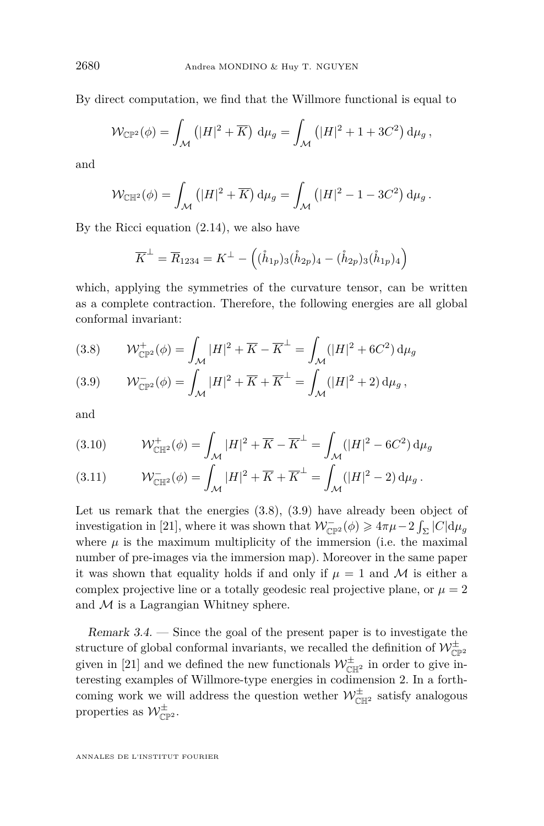By direct computation, we find that the Willmore functional is equal to

$$
\mathcal{W}_{\mathbb{CP}^2}(\phi) = \int_{\mathcal{M}} \left( |H|^2 + \overline{K} \right) d\mu_g = \int_{\mathcal{M}} \left( |H|^2 + 1 + 3C^2 \right) d\mu_g,
$$

and

$$
\mathcal{W}_{\mathbb{C}\mathbb{H}^2}(\phi) = \int_{\mathcal{M}} \left( |H|^2 + \overline{K} \right) d\mu_g = \int_{\mathcal{M}} \left( |H|^2 - 1 - 3C^2 \right) d\mu_g.
$$

By the Ricci equation [\(2.14\)](#page-8-1), we also have

$$
\overline{K}^{\perp} = \overline{R}_{1234} = K^{\perp} - ((\mathring{h}_{1p})_3(\mathring{h}_{2p})_4 - (\mathring{h}_{2p})_3(\mathring{h}_{1p})_4)
$$

which, applying the symmetries of the curvature tensor, can be written as a complete contraction. Therefore, the following energies are all global conformal invariant:

<span id="page-18-0"></span>(3.8) 
$$
\mathcal{W}_{\mathbb{CP}^2}^+(\phi) = \int_{\mathcal{M}} |H|^2 + \overline{K} - \overline{K}^\perp = \int_{\mathcal{M}} (|H|^2 + 6C^2) \, \mathrm{d}\mu_g
$$

<span id="page-18-1"></span>(3.9) 
$$
\mathcal{W}_{\mathbb{CP}^2}(\phi) = \int_{\mathcal{M}} |H|^2 + \overline{K} + \overline{K}^{\perp} = \int_{\mathcal{M}} (|H|^2 + 2) \, \mathrm{d}\mu_g,
$$

and

(3.10) 
$$
\mathcal{W}_{\mathbb{C} \mathbb{H}^2}^+(\phi) = \int_{\mathcal{M}} |H|^2 + \overline{K} - \overline{K}^{\perp} = \int_{\mathcal{M}} (|H|^2 - 6C^2) \, \mathrm{d} \mu_g
$$

(3.11) 
$$
\mathcal{W}_{\mathbb{C} \mathbb{H}^2}^-(\phi) = \int_{\mathcal{M}} |H|^2 + \overline{K} + \overline{K}^{\perp} = \int_{\mathcal{M}} (|H|^2 - 2) \, \mathrm{d} \mu_g \, .
$$

Let us remark that the energies  $(3.8)$ ,  $(3.9)$  have already been object of investigation in [\[21\]](#page-32-17), where it was shown that  $W_{\mathbb{CP}^2}^{-}(\phi) \geq 4\pi\mu - 2\int_{\Sigma} |C| d\mu_g$ where  $\mu$  is the maximum multiplicity of the immersion (i.e. the maximal number of pre-images via the immersion map). Moreover in the same paper it was shown that equality holds if and only if  $\mu = 1$  and M is either a complex projective line or a totally geodesic real projective plane, or  $\mu = 2$ and  $M$  is a Lagrangian Whitney sphere.

Remark 3.4. — Since the goal of the present paper is to investigate the structure of global conformal invariants, we recalled the definition of  $\mathcal{W}_{\mathbb{CP}^2}^\pm$ given in [\[21\]](#page-32-17) and we defined the new functionals  $\mathcal{W}_{\mathbb{C} \mathbb{H}^2}^{\pm}$  in order to give interesting examples of Willmore-type energies in codimension 2. In a forthcoming work we will address the question wether  $\mathcal{W}_{\mathbb{C} \mathbb{H}^2}^{\pm}$  satisfy analogous properties as  $\mathcal{W}_{\mathbb{CP}^2}^{\pm}$ .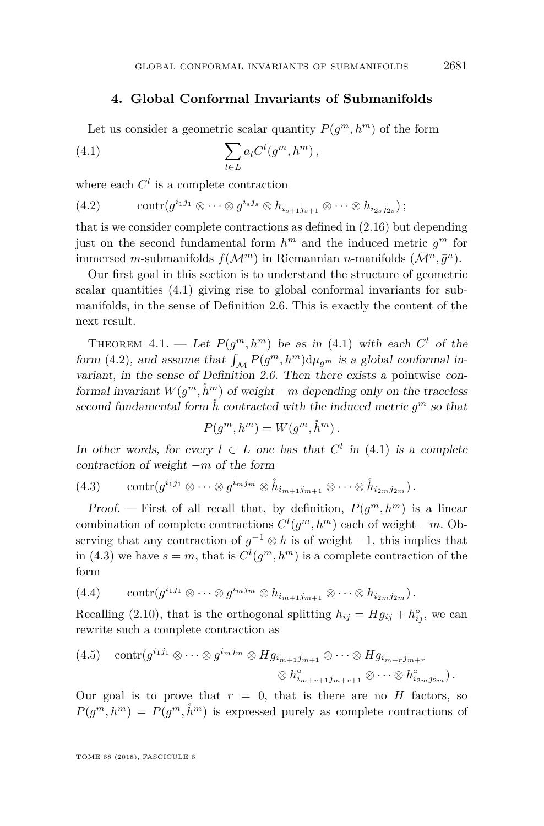#### **4. Global Conformal Invariants of Submanifolds**

Let us consider a geometric scalar quantity  $P(g^m, h^m)$  of the form

<span id="page-19-1"></span>
$$
(4.1)\qquad \qquad \sum_{l\in L} a_l C^l(g^m, h^m)\,,
$$

where each  $C^l$  is a complete contraction

<span id="page-19-2"></span>
$$
(4.2) \qquad \operatorname{contr}(g^{i_1j_1}\otimes\cdots\otimes g^{i_sj_s}\otimes h_{i_{s+1}j_{s+1}}\otimes\cdots\otimes h_{i_{2s}j_{2s}});
$$

that is we consider complete contractions as defined in [\(2.16\)](#page-9-0) but depending just on the second fundamental form  $h^m$  and the induced metric  $g^m$  for immersed *m*-submanifolds  $f(\mathcal{M}^m)$  in Riemannian *n*-manifolds  $(\bar{\mathcal{M}}^n, \bar{g}^n)$ .

Our first goal in this section is to understand the structure of geometric scalar quantities [\(4.1\)](#page-19-1) giving rise to global conformal invariants for submanifolds, in the sense of Definition [2.6.](#page-10-1) This is exactly the content of the next result.

<span id="page-19-0"></span>THEOREM 4.1. — Let  $P(g^m, h^m)$  be as in [\(4.1\)](#page-19-1) with each  $C^l$  of the form [\(4.2\)](#page-19-2), and assume that  $\int_{\mathcal{M}} P(g^m, h^m) d\mu_{g^m}$  is a global conformal invariant, in the sense of Definition [2.6.](#page-10-1) Then there exists a pointwise conformal invariant  $W(g^m, \mathring{h}^m)$  of weight  $-m$  depending only on the traceless second fundamental form  $\hat{h}$  contracted with the induced metric  $g^m$  so that

$$
P(g^m, h^m) = W(g^m, \mathring{h}^m).
$$

In other words, for every  $l \in L$  one has that  $C^l$  in [\(4.1\)](#page-19-1) is a complete contraction of weight −*m* of the form

<span id="page-19-3"></span>
$$
(4.3) \qquad \operatorname{contr}(g^{i_1j_1}\otimes\cdots\otimes g^{i_mj_m}\otimes\mathring{h}_{i_{m+1}j_{m+1}}\otimes\cdots\otimes\mathring{h}_{i_{2m}j_{2m}}).
$$

Proof. – First of all recall that, by definition,  $P(g^m, h^m)$  is a linear combination of complete contractions  $C^l(g^m, h^m)$  each of weight  $-m$ . Observing that any contraction of  $g^{-1} \otimes h$  is of weight  $-1$ , this implies that in [\(4.3\)](#page-19-3) we have  $s = m$ , that is  $C^l(g^m, h^m)$  is a complete contraction of the form

$$
(4.4) \qquad \operatorname{contr}(g^{i_1j_1}\otimes\cdots\otimes g^{i_mj_m}\otimes h_{i_{m+1}j_{m+1}}\otimes\cdots\otimes h_{i_{2m}j_{2m}}).
$$

Recalling [\(2.10\)](#page-8-4), that is the orthogonal splitting  $h_{ij} = Hg_{ij} + h_{ij}^{\circ}$ , we can rewrite such a complete contraction as

(4.5) 
$$
\operatorname{contr}(g^{i_1 j_1} \otimes \cdots \otimes g^{i_m j_m} \otimes Hg_{i_{m+1} j_{m+1}} \otimes \cdots \otimes Hg_{i_{m+r} j_{m+r}} \otimes \cdots \otimes h^{\circ}_{i_{2m} j_{2m}}).
$$

$$
\otimes h^{\circ}_{i_{m+r+1} j_{m+r+1}} \otimes \cdots \otimes h^{\circ}_{i_{2m} j_{2m}}.
$$

Our goal is to prove that  $r = 0$ , that is there are no *H* factors, so  $P(g^m, h^m) = P(g^m, \dot{h}^m)$  is expressed purely as complete contractions of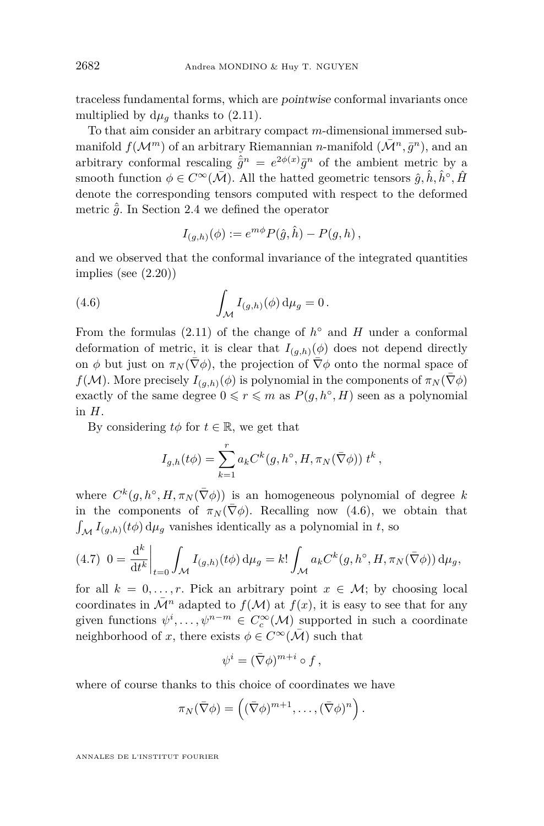traceless fundamental forms, which are pointwise conformal invariants once multiplied by  $d\mu_q$  thanks to [\(2.11\)](#page-8-3).

To that aim consider an arbitrary compact *m*-dimensional immersed submanifold  $f(\mathcal{M}^m)$  of an arbitrary Riemannian *n*-manifold  $(\bar{\mathcal{M}}^n, \bar{g}^n)$ , and an arbitrary conformal rescaling  $\hat{g}^n = e^{2\phi(x)} \bar{g}^n$  of the ambient metric by a smooth function  $\phi \in C^{\infty}(\bar{\mathcal{M}})$ . All the hatted geometric tensors  $\hat{g}, \hat{h}, \hat{h}^{\circ}, \hat{H}$ denote the corresponding tensors computed with respect to the deformed metric  $\hat{\bar{q}}$ . In Section [2.4](#page-11-1) we defined the operator

<span id="page-20-0"></span>
$$
I_{(g,h)}(\phi) := e^{m\phi} P(\hat{g}, \hat{h}) - P(g, h) ,
$$

and we observed that the conformal invariance of the integrated quantities implies (see [\(2.20\)](#page-11-0))

(4.6) 
$$
\int_{\mathcal{M}} I_{(g,h)}(\phi) d\mu_g = 0.
$$

From the formulas  $(2.11)$  of the change of  $h^{\circ}$  and  $H$  under a conformal deformation of metric, it is clear that  $I_{(q,h)}(\phi)$  does not depend directly on  $\phi$  but just on  $\pi_N(\nabla \phi)$ , the projection of  $\nabla \phi$  onto the normal space of *f*(*M*). More precisely  $I_{(q,h)}(\phi)$  is polynomial in the components of  $\pi_N(\overline{\nabla}\phi)$ exactly of the same degree  $0 \le r \le m$  as  $P(g, h^{\circ}, H)$  seen as a polynomial in *H*.

By considering  $t\phi$  for  $t \in \mathbb{R}$ , we get that

$$
I_{g,h}(t\phi) = \sum_{k=1}^{r} a_k C^k(g, h^{\circ}, H, \pi_N(\bar{\nabla}\phi)) t^k,
$$

where  $C^k(g, h^{\circ}, H, \pi_N(\bar{\nabla}\phi))$  is an homogeneous polynomial of degree k in the components of  $\pi_N(\nabla \phi)$ . Recalling now [\(4.6\)](#page-20-0), we obtain that  $\int_{\mathcal{M}} I_{(g,h)}(t\phi) d\mu_g$  vanishes identically as a polynomial in *t*, so

<span id="page-20-1"></span>
$$
(4.7) \ \ 0 = \frac{\mathrm{d}^k}{\mathrm{d}t^k} \bigg|_{t=0} \int_{\mathcal{M}} I_{(g,h)}(t\phi) \, \mathrm{d}\mu_g = k! \int_{\mathcal{M}} a_k C^k(g, h^\circ, H, \pi_N(\bar{\nabla}\phi)) \, \mathrm{d}\mu_g,
$$

for all  $k = 0, \ldots, r$ . Pick an arbitrary point  $x \in M$ ; by choosing local coordinates in  $\overline{\mathcal{M}}^n$  adapted to  $f(\mathcal{M})$  at  $f(x)$ , it is easy to see that for any given functions  $\psi^i, \ldots, \psi^{n-m} \in C_c^{\infty}(\mathcal{M})$  supported in such a coordinate neighborhood of *x*, there exists  $\phi \in C^{\infty}(\overline{\mathcal{M}})$  such that

$$
\psi^i = (\bar{\nabla}\phi)^{m+i} \circ f \,,
$$

where of course thanks to this choice of coordinates we have

$$
\pi_N(\bar\nabla\phi) = \left( (\bar\nabla\phi)^{m+1}, \ldots, (\bar\nabla\phi)^n \right).
$$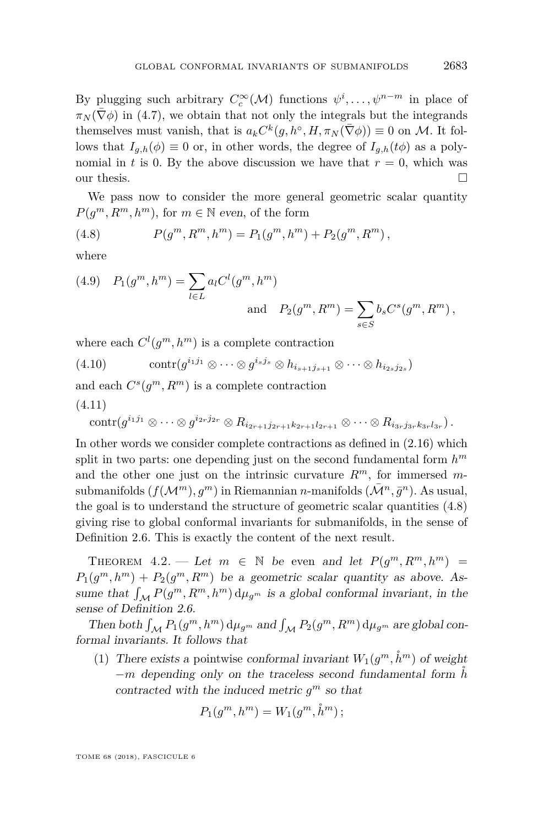By plugging such arbitrary  $C_c^{\infty}(\mathcal{M})$  functions  $\psi^i, \ldots, \psi^{n-m}$  in place of  $\pi_N(\bar{\nabla}\phi)$  in [\(4.7\)](#page-20-1), we obtain that not only the integrals but the integrands themselves must vanish, that is  $a_k C^k(g, h^{\circ}, H, \pi_N(\bar{\nabla}\phi)) \equiv 0$  on M. It follows that  $I_{a,h}(\phi) \equiv 0$  or, in other words, the degree of  $I_{a,h}(t\phi)$  as a polynomial in *t* is 0. By the above discussion we have that  $r = 0$ , which was our thesis.  $\Box$ 

We pass now to consider the more general geometric scalar quantity  $P(g^m, R^m, h^m)$ , for  $m \in \mathbb{N}$  even, of the form

<span id="page-21-1"></span>(4.8) 
$$
P(g^m, R^m, h^m) = P_1(g^m, h^m) + P_2(g^m, R^m),
$$

where

(4.9) 
$$
P_1(g^m, h^m) = \sum_{l \in L} a_l C^l(g^m, h^m)
$$
  
and  $P_2(g^m, R^m) = \sum_{s \in S} b_s C^s(g^m, R^m)$ ,

where each  $C^l(g^m, h^m)$  is a complete contraction

<span id="page-21-2"></span>
$$
(4.10) \qquad \operatorname{contr}(g^{i_1j_1} \otimes \cdots \otimes g^{i_sj_s} \otimes h_{i_{s+1}j_{s+1}} \otimes \cdots \otimes h_{i_{2s}j_{2s}})
$$

and each  $C^{s}(g^{m}, R^{m})$  is a complete contraction (4.11)

$$
\operatorname{contr}(g^{i_1j_1} \otimes \cdots \otimes g^{i_{2r}j_{2r}} \otimes R_{i_{2r+1}j_{2r+1}k_{2r+1}l_{2r+1}} \otimes \cdots \otimes R_{i_{3r}j_{3r}k_{3r}l_{3r}}).
$$

In other words we consider complete contractions as defined in [\(2.16\)](#page-9-0) which split in two parts: one depending just on the second fundamental form *h m* and the other one just on the intrinsic curvature  $R^m$ , for immersed  $m$ submanifolds  $(f(\mathcal{M}^m), g^m)$  in Riemannian *n*-manifolds  $(\bar{\mathcal{M}}^n, \bar{g}^n)$ . As usual, the goal is to understand the structure of geometric scalar quantities [\(4.8\)](#page-21-1) giving rise to global conformal invariants for submanifolds, in the sense of Definition [2.6.](#page-10-1) This is exactly the content of the next result.

<span id="page-21-0"></span>THEOREM 4.2. — Let  $m \in \mathbb{N}$  be even and let  $P(g^m, R^m, h^m)$  =  $P_1(g^m, h^m) + P_2(g^m, R^m)$  be a geometric scalar quantity as above. Assume that  $\int_{\mathcal{M}} P(g^m, R^m, h^m) d\mu_{g^m}$  is a global conformal invariant, in the sense of Definition [2.6.](#page-10-1)

Then both  $\int_{\mathcal{M}} P_1(g^m, h^m) d\mu_{g^m}$  and  $\int_{\mathcal{M}} P_2(g^m, R^m) d\mu_{g^m}$  are global conformal invariants. It follows that

<span id="page-21-3"></span>(1) There exists a pointwise conformal invariant  $W_1(g^m, \mathring{h}^m)$  of weight −*m* depending only on the traceless second fundamental form ˚*h* contracted with the induced metric  $g^m$  so that

$$
P_1(g^m, h^m) = W_1(g^m, \mathring{h}^m) \, ;
$$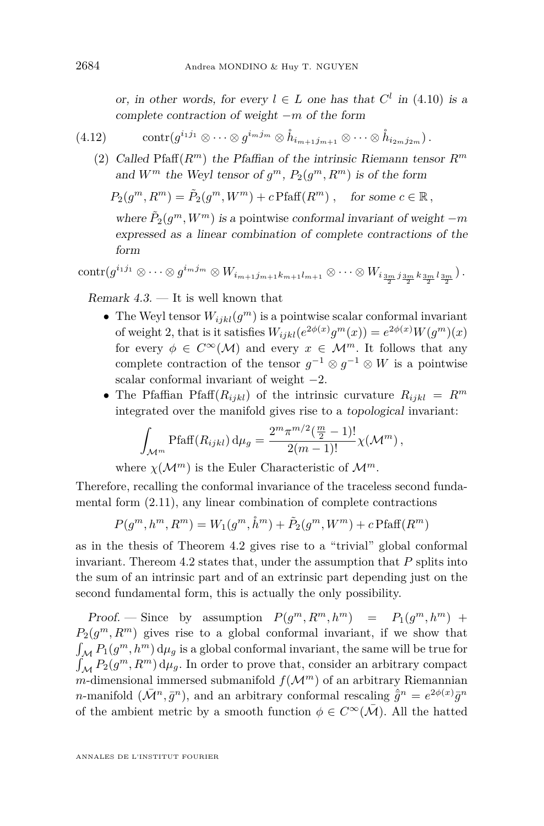or, in other words, for every  $l \in L$  one has that  $C^l$  in [\(4.10\)](#page-21-2) is a complete contraction of weight −*m* of the form

$$
(4.12) \qquad \operatorname{contr}(g^{i_1j_1}\otimes\cdots\otimes g^{i_mj_m}\otimes\mathring{h}_{i_{m+1}j_{m+1}}\otimes\cdots\otimes\mathring{h}_{i_{2m}j_{2m}}).
$$

<span id="page-22-0"></span>(2) Called Pfaff $(R^m)$  the Pfaffian of the intrinsic Riemann tensor  $R^m$ and  $W^m$  the Weyl tensor of  $g^m$ ,  $P_2(g^m, R^m)$  is of the form

$$
P_2(g^m, R^m) = \tilde{P}_2(g^m, W^m) + c \operatorname{Pfaff}(R^m) , \quad \text{for some } c \in \mathbb{R},
$$

where  $\tilde{P}_2(g^m, W^m)$  is a pointwise conformal invariant of weight  $-m$ expressed as a linear combination of complete contractions of the form

$$
\operatorname{contr}(g^{i_1j_1}\otimes\cdots\otimes g^{i_mj_m}\otimes W_{i_{m+1}j_{m+1}k_{m+1}l_{m+1}}\otimes\cdots\otimes W_{i_{\frac{3m}{2}}j_{\frac{3m}{2}}k_{\frac{3m}{2}}l_{\frac{3m}{2}}l_{\frac{3m}{2}}}).
$$

Remark  $4.3.$  — It is well known that

- The Weyl tensor  $W_{ijkl}(g^m)$  is a pointwise scalar conformal invariant of weight 2, that is it satisfies  $W_{ijkl}(e^{2\phi(x)}g^m(x)) = e^{2\phi(x)}W(g^m)(x)$ for every  $\phi \in C^{\infty}(\mathcal{M})$  and every  $x \in \mathcal{M}^m$ . It follows that any complete contraction of the tensor  $g^{-1} \otimes g^{-1} \otimes W$  is a pointwise scalar conformal invariant of weight  $-2$ .
- The Pfaffian Pfaff $(R_{ijkl})$  of the intrinsic curvature  $R_{ijkl} = R^m$ integrated over the manifold gives rise to a topological invariant:

$$
\int_{\mathcal{M}^m} \text{Pfaff}(R_{ijkl}) \, \mathrm{d}\mu_g = \frac{2^m \pi^{m/2} (\frac{m}{2} - 1)!}{2(m-1)!} \chi(\mathcal{M}^m) \, ,
$$

where  $\chi(\mathcal{M}^m)$  is the Euler Characteristic of  $\mathcal{M}^m$ .

Therefore, recalling the conformal invariance of the traceless second fundamental form [\(2.11\)](#page-8-3), any linear combination of complete contractions

$$
P(g^m, h^m, R^m) = W_1(g^m, \mathring{h}^m) + \tilde{P}_2(g^m, W^m) + c \operatorname{Pfaff}(R^m)
$$

as in the thesis of Theorem [4.2](#page-21-0) gives rise to a "trivial" global conformal invariant. Thereom [4.2](#page-21-0) states that, under the assumption that *P* splits into the sum of an intrinsic part and of an extrinsic part depending just on the second fundamental form, this is actually the only possibility.

Proof. — Since by assumption  $P(g^m, R^m, h^m) = P_1(g^m, h^m)$  +  $P_2(g^m, R^m)$  gives rise to a global conformal invariant, if we show that  $\int_{\mathcal{M}} P_1(g^m, h^m) d\mu_g$  is a global conformal invariant, the same will be true for  $\int_{\mathcal{M}} P_2(g^m, R^m) d\mu_g$ . In order to prove that, consider an arbitrary compact *m*-dimensional immersed submanifold  $f(M^m)$  of an arbitrary Riemannian *n*-manifold  $(\bar{\mathcal{M}}^n, \bar{g}^n)$ , and an arbitrary conformal rescaling  $\hat{\bar{g}}^n = e^{2\phi(x)}\bar{g}^n$ of the ambient metric by a smooth function  $\phi \in C^{\infty}(\overline{\mathcal{M}})$ . All the hatted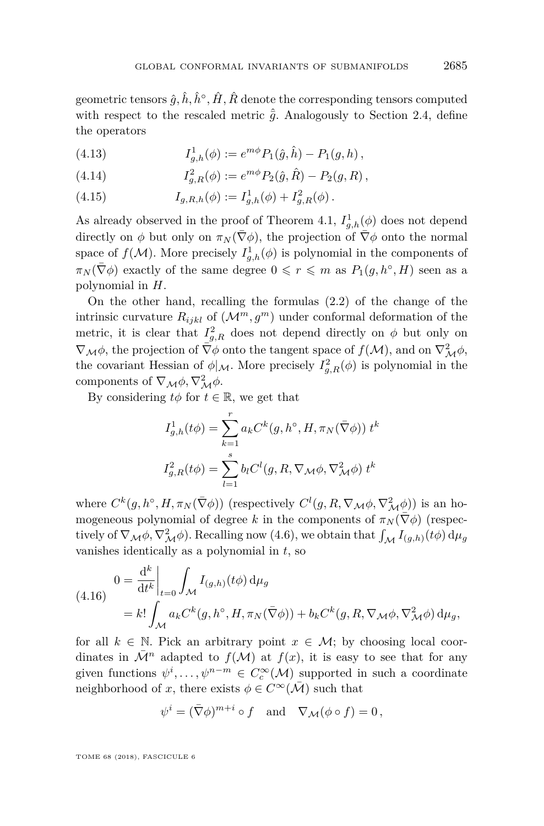geometric tensors  $\hat{g}, \hat{h}, \hat{h}^{\circ}, \hat{H}, \hat{R}$  denote the corresponding tensors computed with respect to the rescaled metric  $\hat{g}$ . Analogously to Section [2.4,](#page-11-1) define the operators

(4.13) 
$$
I_{g,h}^{1}(\phi) := e^{m\phi} P_1(\hat{g}, \hat{h}) - P_1(g, h) ,
$$

(4.14) 
$$
I_{g,R}^2(\phi) := e^{m\phi} P_2(\hat{g}, \hat{R}) - P_2(g, R) ,
$$

(4.15) 
$$
I_{g,R,h}(\phi) := I_{g,h}^1(\phi) + I_{g,R}^2(\phi).
$$

As already observed in the proof of Theorem [4.1,](#page-19-0)  $I_{g,h}^1(\phi)$  does not depend directly on  $\phi$  but only on  $\pi_N(\bar{\nabla}\phi)$ , the projection of  $\bar{\nabla}\phi$  onto the normal space of  $f(\mathcal{M})$ . More precisely  $I_{g,h}^1(\phi)$  is polynomial in the components of  $\pi_N(\bar{\nabla}\phi)$  exactly of the same degree  $0 \leqslant r \leqslant m$  as  $P_1(g, h^\circ, H)$  seen as a polynomial in *H*.

On the other hand, recalling the formulas [\(2.2\)](#page-6-2) of the change of the intrinsic curvature  $R_{ijkl}$  of  $(\mathcal{M}^m, g^m)$  under conformal deformation of the metric, it is clear that  $I_{g,R}^2$  does not depend directly on  $\phi$  but only on  $\nabla_M \phi$ , the projection of  $\overline{\nabla}\phi$  onto the tangent space of  $f(M)$ , and on  $\nabla^2_M \phi$ , the covariant Hessian of  $\phi|_{\mathcal{M}}$ . More precisely  $I_{g,R}^2(\phi)$  is polynomial in the components of  $\nabla_{\mathcal{M}}\phi, \nabla^2_{\mathcal{M}}\phi.$ 

By considering  $t\phi$  for  $t \in \mathbb{R}$ , we get that

$$
\begin{aligned} I_{g,h}^1(t\phi) &= \sum_{k=1}^r a_k C^k(g,h^\circ,H,\pi_N(\bar\nabla \phi)) \; t^k \\ I_{g,R}^2(t\phi) &= \sum_{l=1}^s b_l C^l(g,R,\nabla_{\mathcal{M}}\phi,\nabla_{\mathcal{M}}^2\phi) \; t^k \end{aligned}
$$

where  $C^k(g, h^{\circ}, H, \pi_N(\bar{\nabla}\phi))$  (respectively  $C^l(g, R, \nabla_M \phi, \nabla^2_M \phi)$ ) is an homogeneous polynomial of degree *k* in the components of  $\pi_N(\bar{\nabla}\phi)$  (respectively of  $\nabla_{\mathcal{M}} \phi$ ,  $\nabla^2_{\mathcal{M}} \phi$ ). Recalling now [\(4.6\)](#page-20-0), we obtain that  $\int_{\mathcal{M}} I_{(g,h)}(t\phi) d\mu_g$ vanishes identically as a polynomial in *t*, so

<span id="page-23-0"></span>(4.16) 
$$
0 = \frac{d^k}{dt^k} \Big|_{t=0} \int_{\mathcal{M}} I_{(g,h)}(t\phi) d\mu_g
$$
  
=  $k! \int_{\mathcal{M}} a_k C^k(g, h^{\circ}, H, \pi_N(\bar{\nabla}\phi)) + b_k C^k(g, R, \nabla_M \phi, \nabla^2_M \phi) d\mu_g,$ 

for all  $k \in \mathbb{N}$ . Pick an arbitrary point  $x \in \mathcal{M}$ ; by choosing local coordinates in  $\overline{\mathcal{M}}^n$  adapted to  $f(\mathcal{M})$  at  $f(x)$ , it is easy to see that for any given functions  $\psi^i, \ldots, \psi^{n-m} \in C_c^{\infty}(\mathcal{M})$  supported in such a coordinate neighborhood of *x*, there exists  $\phi \in C^{\infty}(\overline{\mathcal{M}})$  such that

$$
\psi^i = (\bar{\nabla}\phi)^{m+i} \circ f \quad \text{and} \quad \nabla_{\mathcal{M}}(\phi \circ f) = 0 \,,
$$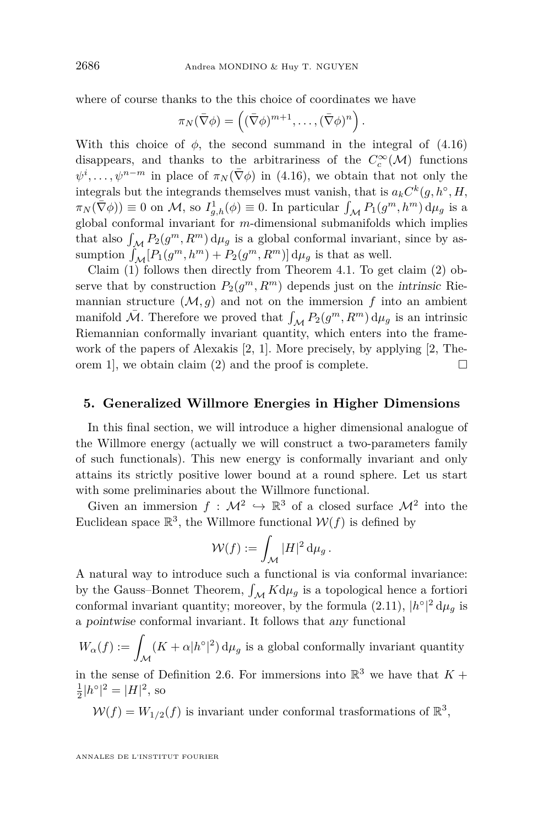where of course thanks to the this choice of coordinates we have

$$
\pi_N(\overline{\nabla}\phi) = \left( (\overline{\nabla}\phi)^{m+1}, \ldots, (\overline{\nabla}\phi)^n \right).
$$

With this choice of  $\phi$ , the second summand in the integral of  $(4.16)$ disappears, and thanks to the arbitrariness of the  $C_c^{\infty}(\mathcal{M})$  functions  $\psi^i, \ldots, \psi^{n-m}$  in place of  $\pi_N(\bar{\nabla}\phi)$  in [\(4.16\)](#page-23-0), we obtain that not only the integrals but the integrands themselves must vanish, that is  $a_k C^k(g, h^\circ, H, \mathcal{L}^\circ)$  $\pi_N(\bar{\nabla}\phi)$  = 0 on *M*, so  $I_{g,h}^1(\phi) \equiv 0$ . In particular  $\int_{\mathcal{M}} P_1(g^m, h^m) d\mu_g$  is a global conformal invariant for *m*-dimensional submanifolds which implies that also  $\int_{\mathcal{M}} P_2(g^m, R^m) d\mu_g$  is a global conformal invariant, since by assumption  $\int_{\mathcal{M}} [P_1(g^m, h^m) + P_2(g^m, R^m)] d\mu_g$  is that as well.

Claim [\(1\)](#page-21-3) follows then directly from Theorem [4.1.](#page-19-0) To get claim [\(2\)](#page-22-0) observe that by construction  $P_2(g^m, R^m)$  depends just on the *intrinsic* Riemannian structure  $(M, g)$  and not on the immersion  $f$  into an ambient manifold  $\bar{\mathcal{M}}$ . Therefore we proved that  $\int_{\mathcal{M}} P_2(g^m, R^m) d\mu_g$  is an intrinsic Riemannian conformally invariant quantity, which enters into the framework of the papers of Alexakis [\[2,](#page-32-2) [1\]](#page-32-1). More precisely, by applying [\[2,](#page-32-2) The-orem 1, we obtain claim [\(2\)](#page-22-0) and the proof is complete.  $\Box$ 

#### <span id="page-24-0"></span>**5. Generalized Willmore Energies in Higher Dimensions**

In this final section, we will introduce a higher dimensional analogue of the Willmore energy (actually we will construct a two-parameters family of such functionals). This new energy is conformally invariant and only attains its strictly positive lower bound at a round sphere. Let us start with some preliminaries about the Willmore functional.

Given an immersion  $f: \mathcal{M}^2 \hookrightarrow \mathbb{R}^3$  of a closed surface  $\mathcal{M}^2$  into the Euclidean space  $\mathbb{R}^3$ , the Willmore functional  $\mathcal{W}(f)$  is defined by

$$
\mathcal{W}(f) := \int_{\mathcal{M}} |H|^2 \,\mathrm{d}\mu_g.
$$

A natural way to introduce such a functional is via conformal invariance: by the Gauss–Bonnet Theorem,  $\int_{\mathcal{M}} K d\mu_g$  is a topological hence a fortiori conformal invariant quantity; moreover, by the formula  $(2.11)$ ,  $|h^{\circ}|^2 d\mu_g$  is a pointwise conformal invariant. It follows that any functional

 $W_{\alpha}(f) := \int_{\mathcal{M}}$  $(K + \alpha |h^{\circ}|^2) d\mu_g$  is a global conformally invariant quantity

in the sense of Definition [2.6.](#page-10-1) For immersions into  $\mathbb{R}^3$  we have that  $K +$  $\frac{1}{2}|h^{\circ}|^2 = |H|^2$ , so

 $W(f) = W_{1/2}(f)$  is invariant under conformal trasformations of  $\mathbb{R}^3$ ,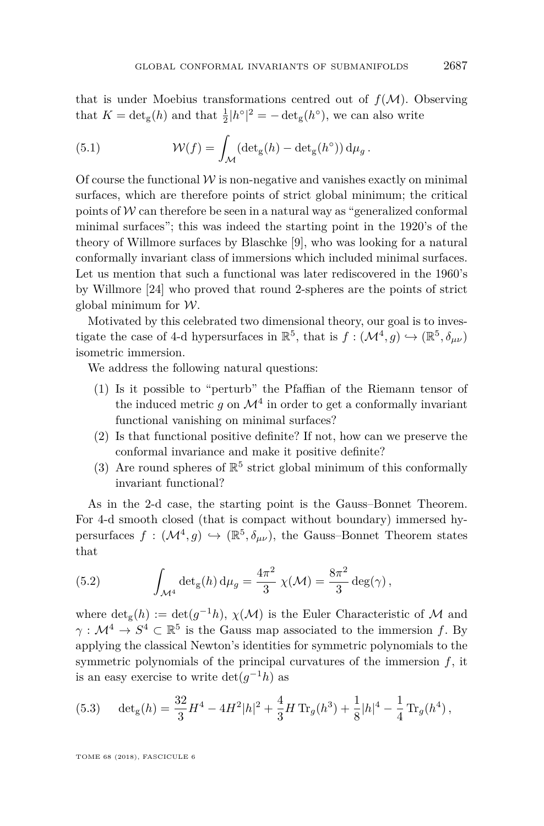that is under Moebius transformations centred out of  $f(M)$ . Observing that  $K = \det_{\mathbf{g}}(h)$  and that  $\frac{1}{2} |h^{\circ}|^2 = -\det_{\mathbf{g}}(h^{\circ}),$  we can also write

<span id="page-25-1"></span>(5.1) 
$$
\mathcal{W}(f) = \int_{\mathcal{M}} (\det_{g}(h) - \det_{g}(h^{\circ})) d\mu_{g}.
$$

Of course the functional  $W$  is non-negative and vanishes exactly on minimal surfaces, which are therefore points of strict global minimum; the critical points of  $W$  can therefore be seen in a natural way as "generalized conformal minimal surfaces"; this was indeed the starting point in the 1920's of the theory of Willmore surfaces by Blaschke [\[9\]](#page-32-9), who was looking for a natural conformally invariant class of immersions which included minimal surfaces. Let us mention that such a functional was later rediscovered in the 1960's by Willmore [\[24\]](#page-33-1) who proved that round 2-spheres are the points of strict global minimum for  $W$ .

Motivated by this celebrated two dimensional theory, our goal is to investigate the case of 4-d hypersurfaces in  $\mathbb{R}^5$ , that is  $f: (\mathcal{M}^4, g) \hookrightarrow (\mathbb{R}^5, \delta_{\mu\nu})$ isometric immersion.

We address the following natural questions:

- <span id="page-25-2"></span>(1) Is it possible to "perturb" the Pfaffian of the Riemann tensor of the induced metric  $g$  on  $\mathcal{M}^4$  in order to get a conformally invariant functional vanishing on minimal surfaces?
- <span id="page-25-4"></span>(2) Is that functional positive definite? If not, how can we preserve the conformal invariance and make it positive definite?
- <span id="page-25-5"></span>(3) Are round spheres of  $\mathbb{R}^5$  strict global minimum of this conformally invariant functional?

As in the 2-d case, the starting point is the Gauss–Bonnet Theorem. For 4-d smooth closed (that is compact without boundary) immersed hypersurfaces  $f : (\mathcal{M}^4, g) \hookrightarrow (\mathbb{R}^5, \delta_{\mu\nu})$ , the Gauss–Bonnet Theorem states that

<span id="page-25-3"></span>(5.2) 
$$
\int_{\mathcal{M}^4} \det_g(h) d\mu_g = \frac{4\pi^2}{3} \chi(\mathcal{M}) = \frac{8\pi^2}{3} \deg(\gamma),
$$

where  $\det_{g}(h) := \det(g^{-1}h), \chi(\mathcal{M})$  is the Euler Characteristic of M and  $\gamma: \mathcal{M}^4 \to S^4 \subset \mathbb{R}^5$  is the Gauss map associated to the immersion *f*. By applying the classical Newton's identities for symmetric polynomials to the symmetric polynomials of the principal curvatures of the immersion *f*, it is an easy exercise to write  $\det(g^{-1}h)$  as

<span id="page-25-0"></span>(5.3) 
$$
\det_{g}(h) = \frac{32}{3}H^4 - 4H^2|h|^2 + \frac{4}{3}H \operatorname{Tr}_{g}(h^3) + \frac{1}{8}|h|^4 - \frac{1}{4} \operatorname{Tr}_{g}(h^4),
$$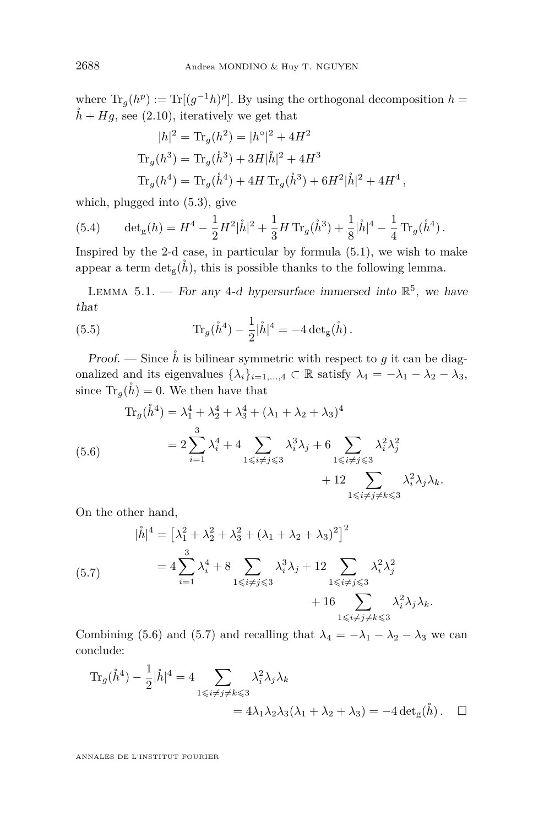where  $\text{Tr}_g(h^p) := \text{Tr}[(g^{-1}h)^p]$ . By using the orthogonal decomposition  $h =$  $\check{h} + Hg$ , see [\(2.10\)](#page-8-4), iteratively we get that

$$
|h|^2 = \text{Tr}_g(h^2) = |h^{\circ}|^2 + 4H^2
$$
  
\n
$$
\text{Tr}_g(h^3) = \text{Tr}_g(\mathring{h}^3) + 3H|\mathring{h}|^2 + 4H^3
$$
  
\n
$$
\text{Tr}_g(h^4) = \text{Tr}_g(\mathring{h}^4) + 4H \text{Tr}_g(\mathring{h}^3) + 6H^2|\mathring{h}|^2 + 4H^4,
$$

which, plugged into [\(5.3\)](#page-25-0), give

<span id="page-26-3"></span>(5.4) 
$$
\det_{g}(h) = H^{4} - \frac{1}{2}H^{2}|\mathring{h}|^{2} + \frac{1}{3}H \operatorname{Tr}_{g}(\mathring{h}^{3}) + \frac{1}{8}|\mathring{h}|^{4} - \frac{1}{4} \operatorname{Tr}_{g}(\mathring{h}^{4}).
$$

Inspired by the 2-d case, in particular by formula  $(5.1)$ , we wish to make appear a term  $\det_{g}(\check{h})$ , this is possible thanks to the following lemma.

LEMMA 5.1. – For any 4-d hypersurface immersed into  $\mathbb{R}^5$ , we have that

<span id="page-26-2"></span>(5.5) 
$$
\text{Tr}_g(\mathring{h}^4) - \frac{1}{2}|\mathring{h}|^4 = -4 \det_g(\mathring{h}).
$$

Proof. — Since  $\hat{h}$  is bilinear symmetric with respect to  $g$  it can be diagonalized and its eigenvalues  $\{\lambda_i\}_{i=1,\dots,4} \subset \mathbb{R}$  satisfy  $\lambda_4 = -\lambda_1 - \lambda_2 - \lambda_3$ , since  $\text{Tr}_g(\mathring{h}) = 0$ . We then have that

<span id="page-26-0"></span>
$$
\begin{aligned} \text{Tr}_g(\mathring{h}^4) &= \lambda_1^4 + \lambda_2^4 + \lambda_3^4 + (\lambda_1 + \lambda_2 + \lambda_3)^4 \\ &= 2 \sum_{i=1}^3 \lambda_i^4 + 4 \sum_{1 \le i \ne j \le 3} \lambda_i^3 \lambda_j + 6 \sum_{1 \le i \ne j \le 3} \lambda_i^2 \lambda_j^2 \\ &+ 12 \sum_{1 \le i \ne j \ne k \le 3} \lambda_i^2 \lambda_j \lambda_k. \end{aligned}
$$

On the other hand,

<span id="page-26-1"></span>
$$
|\mathring{h}|^{4} = \left[\lambda_{1}^{2} + \lambda_{2}^{2} + \lambda_{3}^{2} + (\lambda_{1} + \lambda_{2} + \lambda_{3})^{2}\right]^{2}
$$
  

$$
= 4 \sum_{i=1}^{3} \lambda_{i}^{4} + 8 \sum_{1 \leq i \neq j \leq 3} \lambda_{i}^{3} \lambda_{j} + 12 \sum_{1 \leq i \neq j \leq 3} \lambda_{i}^{2} \lambda_{j}^{2}
$$

$$
+ 16 \sum_{1 \leq i \neq j \neq k \leq 3} \lambda_{i}^{2} \lambda_{j} \lambda_{k}.
$$

Combining [\(5.6\)](#page-26-0) and [\(5.7\)](#page-26-1) and recalling that  $\lambda_4 = -\lambda_1 - \lambda_2 - \lambda_3$  we can conclude:

$$
\begin{aligned} \text{Tr}_g(\mathring{h}^4) - \frac{1}{2} |\mathring{h}|^4 &= 4 \sum_{1 \le i \ne j \ne k \le 3} \lambda_i^2 \lambda_j \lambda_k \\ &= 4\lambda_1 \lambda_2 \lambda_3 (\lambda_1 + \lambda_2 + \lambda_3) = -4 \det_g(\mathring{h}) \,. \quad \Box \end{aligned}
$$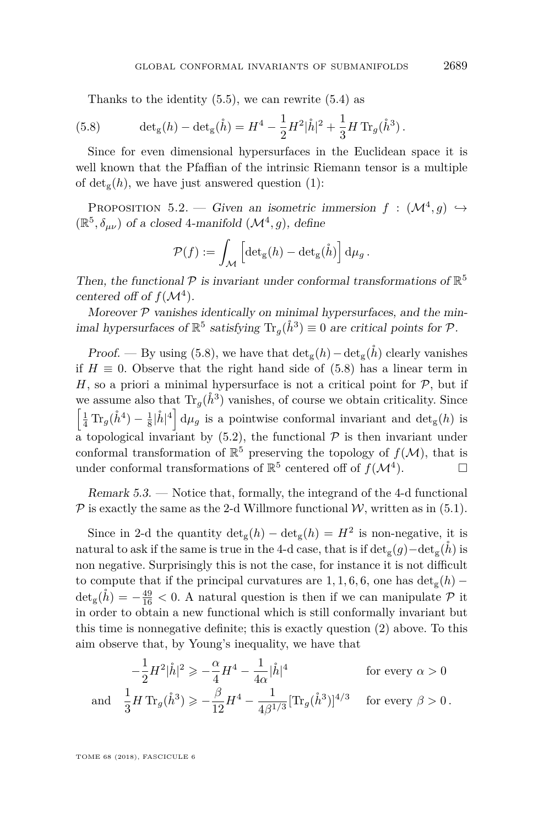<span id="page-27-0"></span>Thanks to the identity  $(5.5)$ , we can rewrite  $(5.4)$  as

(5.8) 
$$
\det_{g}(h) - \det_{g}(\mathring{h}) = H^{4} - \frac{1}{2}H^{2}|\mathring{h}|^{2} + \frac{1}{3}H \operatorname{Tr}_{g}(\mathring{h}^{3}).
$$

Since for even dimensional hypersurfaces in the Euclidean space it is well known that the Pfaffian of the intrinsic Riemann tensor is a multiple of  $\det_{\mathfrak{g}}(h)$ , we have just answered question [\(1\)](#page-25-2):

PROPOSITION 5.2. — Given an isometric immersion  $f : (\mathcal{M}^4, g) \hookrightarrow$  $(\mathbb{R}^5, \delta_{\mu\nu})$  of a closed 4-manifold  $(\mathcal{M}^4, g)$ , define

$$
\mathcal{P}(f) := \int_{\mathcal{M}} \left[ \det_{\mathbf{g}}(h) - \det_{\mathbf{g}}(\mathring{h}) \right] d\mu_g.
$$

Then, the functional  $P$  is invariant under conformal transformations of  $\mathbb{R}^5$ centered off of  $f(\mathcal{M}^4)$ .

Moreover  $P$  vanishes identically on minimal hypersurfaces, and the minimal hypersurfaces of  $\mathbb{R}^5$  satisfying  $\text{Tr}_g(\mathring{h}^3) \equiv 0$  are critical points for  $\mathcal{P}$ .

Proof. — By using [\(5.8\)](#page-27-0), we have that  $\det_{g}(h) - \det_{g}(\hat{h})$  clearly vanishes if  $H \equiv 0$ . Observe that the right hand side of [\(5.8\)](#page-27-0) has a linear term in *H*, so a priori a minimal hypersurface is not a critical point for  $P$ , but if we assume also that  $\text{Tr}_g(\mathring{h}^3)$  vanishes, of course we obtain criticality. Since  $\left[\frac{1}{4} \text{Tr}_g(\mathring{h}^4) - \frac{1}{8}|\mathring{h}|^4\right] d\mu_g$  is a pointwise conformal invariant and  $\det_g(h)$  is a topological invariant by  $(5.2)$ , the functional  $\mathcal P$  is then invariant under conformal transformation of  $\mathbb{R}^5$  preserving the topology of  $f(\mathcal{M})$ , that is under conformal transformations of  $\mathbb{R}^5$  centered off of  $f(\mathcal{M}^4)$  $\Box$ 

Remark 5.3. — Notice that, formally, the integrand of the 4-d functional  $P$  is exactly the same as the 2-d Willmore functional  $W$ , written as in [\(5.1\)](#page-25-1).

Since in 2-d the quantity  $\det_{g}(h) - \det_{g}(h) = H^2$  is non-negative, it is natural to ask if the same is true in the 4-d case, that is if  $\det_g(g) - \det_g(h)$  is non negative. Surprisingly this is not the case, for instance it is not difficult to compute that if the principal curvatures are  $1, 1, 6, 6$ , one has  $\det_{g}(h)$  −  $\det_g(\mathring{h}) = -\frac{49}{16} < 0$ . A natural question is then if we can manipulate  $P$  it in order to obtain a new functional which is still conformally invariant but this time is nonnegative definite; this is exactly question [\(2\)](#page-25-4) above. To this aim observe that, by Young's inequality, we have that

$$
-\frac{1}{2}H^2|\mathring{h}|^2 \ge -\frac{\alpha}{4}H^4 - \frac{1}{4\alpha}|\mathring{h}|^4
$$
 for every  $\alpha > 0$ 

and 
$$
\frac{1}{3}H \text{Tr}_g(\mathring{h}^3) \geqslant -\frac{\beta}{12}H^4 - \frac{1}{4\beta^{1/3}}[\text{Tr}_g(\mathring{h}^3)]^{4/3}
$$
 for every  $\beta > 0$ .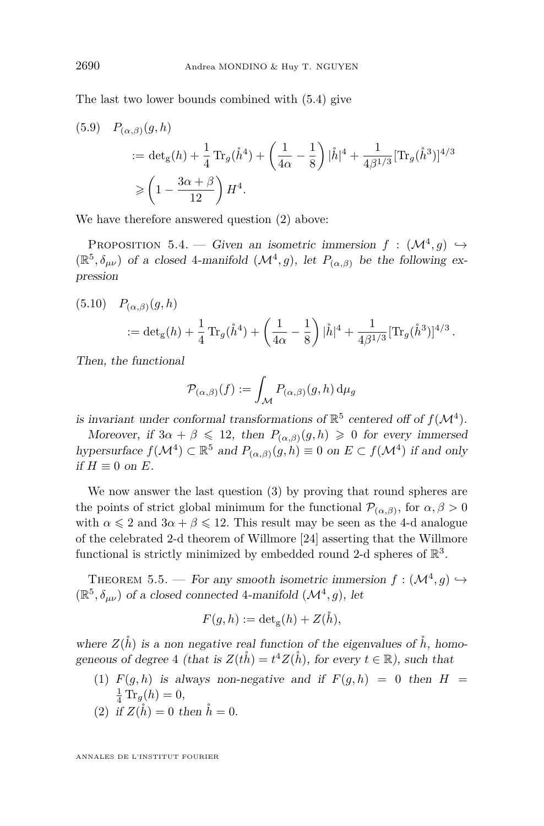The last two lower bounds combined with [\(5.4\)](#page-26-3) give

(5.9) 
$$
P_{(\alpha,\beta)}(g,h)
$$
  
\n
$$
= \det_g(h) + \frac{1}{4} \operatorname{Tr}_g(\mathring{h}^4) + \left(\frac{1}{4\alpha} - \frac{1}{8}\right) |\mathring{h}|^4 + \frac{1}{4\beta^{1/3}} [\operatorname{Tr}_g(\mathring{h}^3)]^{4/3}
$$
\n
$$
\geq \left(1 - \frac{3\alpha + \beta}{12}\right) H^4.
$$

We have therefore answered question  $(2)$  above:

<span id="page-28-2"></span>PROPOSITION 5.4. — Given an isometric immersion  $f : (\mathcal{M}^4, g) \hookrightarrow$  $(\mathbb{R}^5, \delta_{\mu\nu})$  of a closed 4-manifold  $(\mathcal{M}^4, g)$ , let  $P_{(\alpha,\beta)}$  be the following expression

(5.10) 
$$
P_{(\alpha,\beta)}(g,h) = \det_g(h) + \frac{1}{4}\operatorname{Tr}_g(\mathring{h}^4) + \left(\frac{1}{4\alpha} - \frac{1}{8}\right)|\mathring{h}|^4 + \frac{1}{4\beta^{1/3}}[\operatorname{Tr}_g(\mathring{h}^3)]^{4/3}.
$$

Then, the functional

$$
\mathcal{P}_{(\alpha,\beta)}(f) := \int_{\mathcal{M}} P_{(\alpha,\beta)}(g,h) \,d\mu_g
$$

is invariant under conformal transformations of  $\mathbb{R}^5$  centered off of  $f(\mathcal{M}^4)$ .

Moreover, if  $3\alpha + \beta \leq 12$ , then  $P_{(\alpha,\beta)}(g,h) \geq 0$  for every immersed hypersurface  $f(\mathcal{M}^4) \subset \mathbb{R}^5$  and  $P_{(\alpha,\beta)}(g,h) \equiv 0$  on  $E \subset f(\mathcal{M}^4)$  if and only if  $H$  ≡ 0 on  $E$ .

We now answer the last question [\(3\)](#page-25-5) by proving that round spheres are the points of strict global minimum for the functional  $\mathcal{P}_{(\alpha,\beta)}$ , for  $\alpha,\beta>0$ with  $\alpha \leq 2$  and  $3\alpha + \beta \leq 12$ . This result may be seen as the 4-d analogue of the celebrated 2-d theorem of Willmore [\[24\]](#page-33-1) asserting that the Willmore functional is strictly minimized by embedded round 2-d spheres of  $\mathbb{R}^3$ .

<span id="page-28-0"></span>THEOREM 5.5. — For any smooth isometric immersion  $f : (\mathcal{M}^4, g) \hookrightarrow$  $(\mathbb{R}^5, \delta_{\mu\nu})$  of a closed connected 4-manifold  $(\mathcal{M}^4, g)$ , let

$$
F(g, h) := \det_{g}(h) + Z(\mathring{h}),
$$

where  $Z(\mathring{h})$  is a non negative real function of the eigenvalues of  $\mathring{h}$ , homogeneous of degree 4 (that is  $Z(t\mathring{h}) = t^4 Z(\mathring{h})$ , for every  $t \in \mathbb{R}$ ), such that

- <span id="page-28-1"></span>(1)  $F(g, h)$  is always non-negative and if  $F(g, h) = 0$  then  $H =$  $\frac{1}{4} \text{Tr}_g(h) = 0,$
- <span id="page-28-3"></span>(2) if  $Z(\hat{h}) = 0$  then  $\hat{h} = 0$ .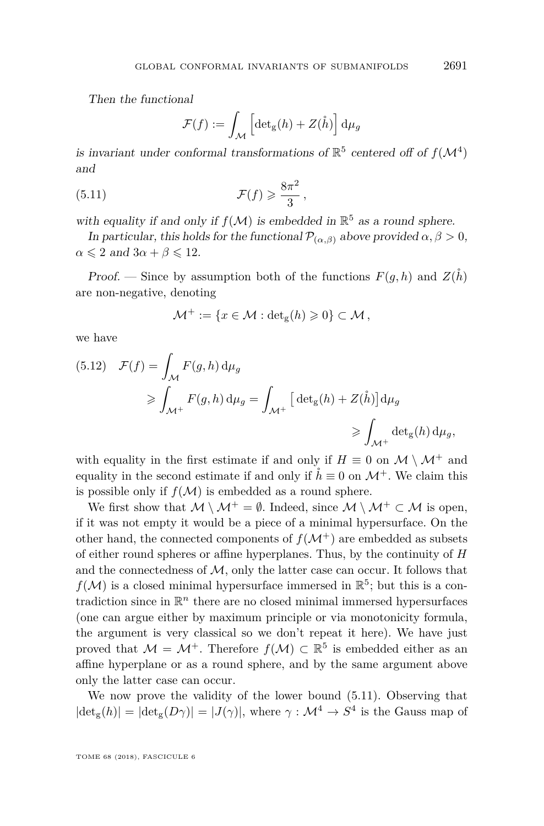Then the functional

$$
\mathcal{F}(f) := \int_{\mathcal{M}} \left[ \det_{g}(h) + Z(\mathring{h}) \right] d\mu_{g}
$$

is invariant under conformal transformations of  $\mathbb{R}^5$  centered off of  $f(\mathcal{M}^4)$ and

<span id="page-29-0"></span>(5.11) 
$$
\mathcal{F}(f) \geqslant \frac{8\pi^2}{3},
$$

with equality if and only if  $f(M)$  is embedded in  $\mathbb{R}^5$  as a round sphere.

In particular, this holds for the functional  $\mathcal{P}_{(\alpha,\beta)}$  above provided  $\alpha, \beta > 0$ ,  $\alpha \leqslant 2$  and  $3\alpha + \beta \leqslant 12$ .

Proof. — Since by assumption both of the functions  $F(q, h)$  and  $Z(h)$ are non-negative, denoting

$$
\mathcal{M}^+ := \{ x \in \mathcal{M} : \det_{\mathbf{g}}(h) \geqslant 0 \} \subset \mathcal{M},
$$

we have

<span id="page-29-1"></span>(5.12) 
$$
\mathcal{F}(f) = \int_{\mathcal{M}} F(g, h) d\mu_g
$$

$$
\geq \int_{\mathcal{M}^+} F(g, h) d\mu_g = \int_{\mathcal{M}^+} \left[ \det_g(h) + Z(\mathring{h}) \right] d\mu_g
$$

$$
\geq \int_{\mathcal{M}^+} \det_g(h) d\mu_g,
$$

with equality in the first estimate if and only if  $H \equiv 0$  on  $\mathcal{M} \setminus \mathcal{M}^+$  and equality in the second estimate if and only if  $\hat{h} \equiv 0$  on  $\mathcal{M}^+$ . We claim this is possible only if  $f(\mathcal{M})$  is embedded as a round sphere.

We first show that  $M \setminus M^+ = \emptyset$ . Indeed, since  $M \setminus M^+ \subset M$  is open, if it was not empty it would be a piece of a minimal hypersurface. On the other hand, the connected components of  $f(\mathcal{M}^+)$  are embedded as subsets of either round spheres or affine hyperplanes. Thus, by the continuity of *H* and the connectedness of  $M$ , only the latter case can occur. It follows that  $f(\mathcal{M})$  is a closed minimal hypersurface immersed in  $\mathbb{R}^5$ ; but this is a contradiction since in  $\mathbb{R}^n$  there are no closed minimal immersed hypersurfaces (one can argue either by maximum principle or via monotonicity formula, the argument is very classical so we don't repeat it here). We have just proved that  $\mathcal{M} = \mathcal{M}^+$ . Therefore  $f(\mathcal{M}) \subset \mathbb{R}^5$  is embedded either as an affine hyperplane or as a round sphere, and by the same argument above only the latter case can occur.

We now prove the validity of the lower bound [\(5.11\)](#page-29-0). Observing that  $|\text{det}_{g}(h)| = |\text{det}_{g}(D\gamma)| = |J(\gamma)|$ , where  $\gamma : \mathcal{M}^4 \to S^4$  is the Gauss map of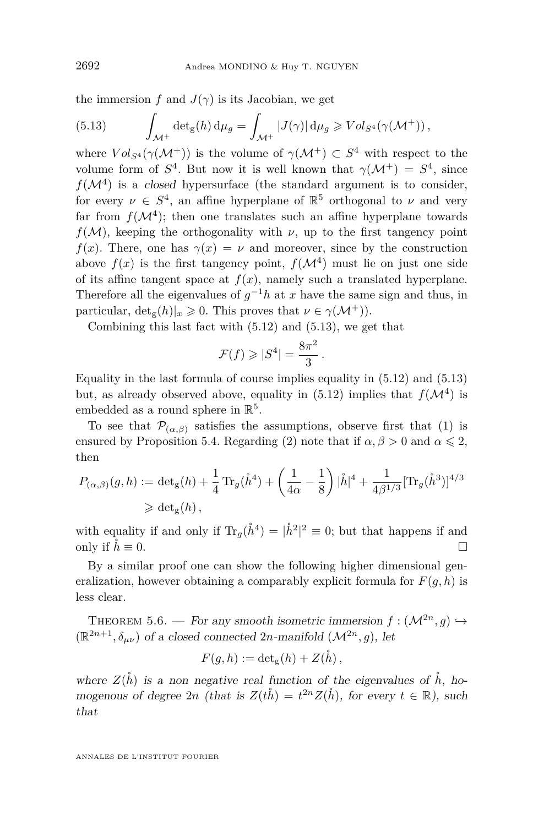the immersion *f* and  $J(\gamma)$  is its Jacobian, we get

<span id="page-30-1"></span>(5.13) 
$$
\int_{\mathcal{M}^+} \det_g(h) d\mu_g = \int_{\mathcal{M}^+} |J(\gamma)| d\mu_g \geq Vol_{S^4}(\gamma(\mathcal{M}^+)),
$$

where  $Vol_{S^4}(\gamma(\mathcal{M}^+))$  is the volume of  $\gamma(\mathcal{M}^+) \subset S^4$  with respect to the volume form of  $S^4$ . But now it is well known that  $\gamma(\mathcal{M}^+) = S^4$ , since  $f(\mathcal{M}^4)$  is a closed hypersurface (the standard argument is to consider, for every  $\nu \in S^4$ , an affine hyperplane of  $\mathbb{R}^5$  orthogonal to  $\nu$  and very far from  $f(\mathcal{M}^4)$ ; then one translates such an affine hyperplane towards  $f(M)$ , keeping the orthogonality with *ν*, up to the first tangency point *f*(*x*). There, one has  $\gamma(x) = \nu$  and moreover, since by the construction above  $f(x)$  is the first tangency point,  $f(\mathcal{M}^4)$  must lie on just one side of its affine tangent space at  $f(x)$ , namely such a translated hyperplane. Therefore all the eigenvalues of  $g^{-1}h$  at *x* have the same sign and thus, in particular,  $\det_{\mathfrak{C}}(h)|_x \geq 0$ . This proves that  $\nu \in \gamma(\mathcal{M}^+))$ .

Combining this last fact with [\(5.12\)](#page-29-1) and [\(5.13\)](#page-30-1), we get that

$$
\mathcal{F}(f) \geqslant |S^4| = \frac{8\pi^2}{3}.
$$

Equality in the last formula of course implies equality in [\(5.12\)](#page-29-1) and [\(5.13\)](#page-30-1) but, as already observed above, equality in  $(5.12)$  implies that  $f(\mathcal{M}^4)$  is embedded as a round sphere in  $\mathbb{R}^5$ .

To see that  $\mathcal{P}_{(\alpha,\beta)}$  satisfies the assumptions, observe first that [\(1\)](#page-28-1) is ensured by Proposition [5.4.](#page-28-2) Regarding [\(2\)](#page-28-3) note that if  $\alpha, \beta > 0$  and  $\alpha \leq 2$ , then

$$
P_{(\alpha,\beta)}(g,h) := \det_g(h) + \frac{1}{4} \operatorname{Tr}_g(\mathring{h}^4) + \left(\frac{1}{4\alpha} - \frac{1}{8}\right) |\mathring{h}|^4 + \frac{1}{4\beta^{1/3}} [\operatorname{Tr}_g(\mathring{h}^3)]^{4/3}
$$
  
\n
$$
\geq \det_g(h),
$$

with equality if and only if  $\text{Tr}_g(\mathring{h}^4) = |\mathring{h}^2|^2 \equiv 0$ ; but that happens if and only if  $\dot{h} \equiv 0$ .

By a similar proof one can show the following higher dimensional generalization, however obtaining a comparably explicit formula for  $F(q, h)$  is less clear.

<span id="page-30-0"></span>THEOREM 5.6. — For any smooth isometric immersion  $f : (\mathcal{M}^{2n}, g) \hookrightarrow$  $(\mathbb{R}^{2n+1}, \delta_{\mu\nu})$  of a closed connected 2*n*-manifold  $(\mathcal{M}^{2n}, g)$ , let

$$
F(g, h) := \det_{g}(h) + Z(\mathring{h}),
$$

where  $Z(\check{h})$  is a non negative real function of the eigenvalues of  $\check{h}$ , homogenous of degree  $2n$  (that is  $Z(t\mathring{h}) = t^{2n}Z(\mathring{h})$ , for every  $t \in \mathbb{R}$ ), such that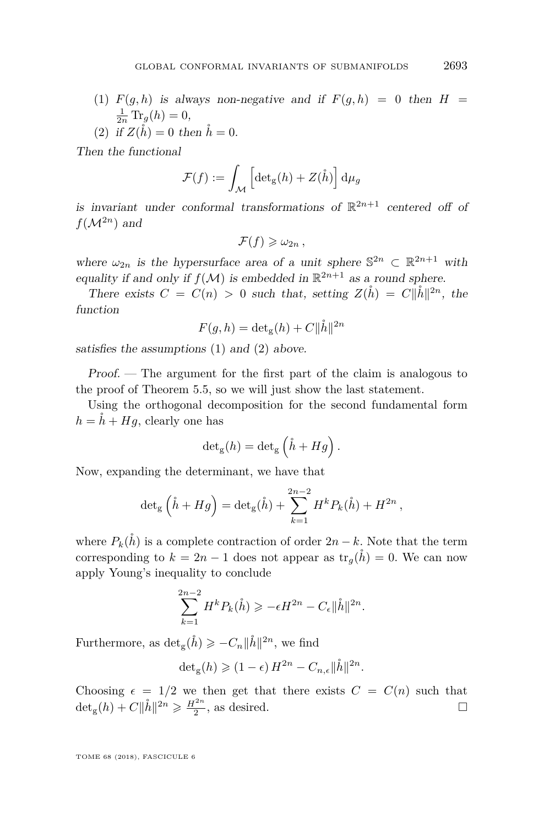- <span id="page-31-0"></span>(1)  $F(g, h)$  is always non-negative and if  $F(g, h) = 0$  then  $H =$  $\frac{1}{2n} \text{Tr}_g(h) = 0,$
- <span id="page-31-1"></span>(2) if  $Z(\hat{h}) = 0$  then  $\hat{h} = 0$ .

Then the functional

$$
\mathcal{F}(f) := \int_{\mathcal{M}} \left[ \det_{g}(h) + Z(\mathring{h}) \right] d\mu_{g}
$$

is invariant under conformal transformations of  $\mathbb{R}^{2n+1}$  centered off of  $f(\mathcal{M}^{2n})$  and

$$
\mathcal{F}(f) \geqslant \omega_{2n} \ ,
$$

where  $\omega_{2n}$  is the hypersurface area of a unit sphere  $\mathbb{S}^{2n} \subset \mathbb{R}^{2n+1}$  with equality if and only if  $f(M)$  is embedded in  $\mathbb{R}^{2n+1}$  as a round sphere.

There exists  $C = C(n) > 0$  such that, setting  $Z(\mathring{h}) = C||\mathring{h}||^{2n}$ , the function

$$
F(g, h) = \det_{\mathbf{g}}(h) + C \|\mathring{h}\|^{2n}
$$

satisfies the assumptions [\(1\)](#page-31-0) and [\(2\)](#page-31-1) above.

Proof. — The argument for the first part of the claim is analogous to the proof of Theorem [5.5,](#page-28-0) so we will just show the last statement.

Using the orthogonal decomposition for the second fundamental form  $h = \dot{h} + Hg$ , clearly one has

$$
\det_{\mathbf{g}}(h) = \det_{\mathbf{g}} \left( \overset{\circ}{h} + Hg \right).
$$

Now, expanding the determinant, we have that

$$
\det_{g} \left( \mathring{h} + Hg \right) = \det_{g} (\mathring{h}) + \sum_{k=1}^{2n-2} H^{k} P_{k}(\mathring{h}) + H^{2n},
$$

where  $P_k(\hat{h})$  is a complete contraction of order  $2n - k$ . Note that the term corresponding to  $k = 2n - 1$  does not appear as  $\text{tr}_g(\check{h}) = 0$ . We can now apply Young's inequality to conclude

$$
\sum_{k=1}^{2n-2} H^k P_k(\mathring{h}) \ge -\epsilon H^{2n} - C_{\epsilon} ||\mathring{h}||^{2n}.
$$

Furthermore, as  $\det_{g}(\hat{h}) \geqslant -C_{n} \|\hat{h}\|^{2n}$ , we find

$$
\det_{\mathbf{g}}(h) \geqslant (1 - \epsilon) H^{2n} - C_{n,\epsilon} ||\mathring{h}||^{2n}.
$$

Choosing  $\epsilon = 1/2$  we then get that there exists  $C = C(n)$  such that  $\det_g(h) + C \|\mathring{h}\|^{2n} \ge \frac{H^{2n}}{2}$ , as desired.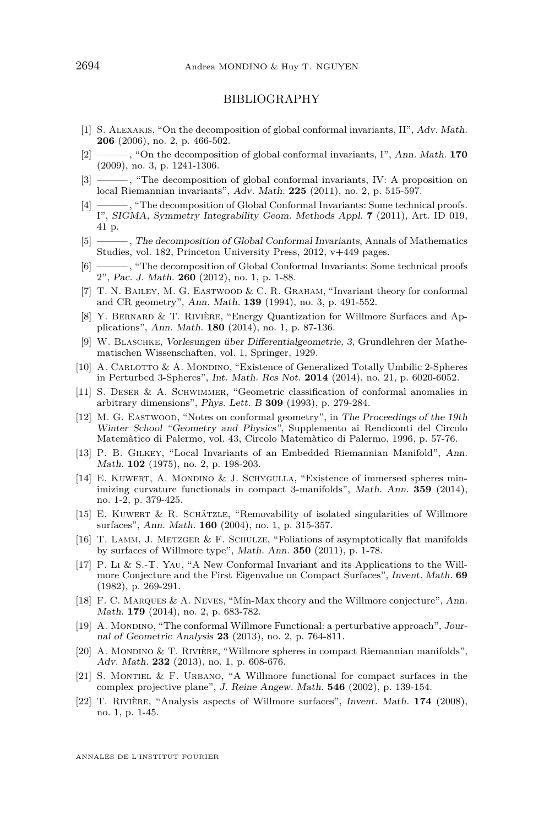#### BIBLIOGRAPHY

- <span id="page-32-1"></span>[1] S. Alexakis, "On the decomposition of global conformal invariants, II", Adv. Math. **206** (2006), no. 2, p. 466-502.
- <span id="page-32-2"></span>[2] ——— , "On the decomposition of global conformal invariants, I", Ann. Math. **170** (2009), no. 3, p. 1241-1306.
- <span id="page-32-3"></span>[3] ——— , "The decomposition of global conformal invariants, IV: A proposition on local Riemannian invariants", Adv. Math. **225** (2011), no. 2, p. 515-597.
- <span id="page-32-4"></span>[4] ———, "The decomposition of Global Conformal Invariants: Some technical proofs. I", SIGMA, Symmetry Integrability Geom. Methods Appl. **7** (2011), Art. ID 019, 41 p.
- <span id="page-32-5"></span>[5] ——— , The decomposition of Global Conformal Invariants, Annals of Mathematics Studies, vol. 182, Princeton University Press, 2012, v+449 pages.
- <span id="page-32-6"></span>[6] ——— , "The decomposition of Global Conformal Invariants: Some technical proofs 2", Pac. J. Math. **260** (2012), no. 1, p. 1-88.
- <span id="page-32-21"></span>[7] T. N. BAILEY, M. G. EASTWOOD & C. R. GRAHAM, "Invariant theory for conformal and CR geometry", Ann. Math. **139** (1994), no. 3, p. 491-552.
- <span id="page-32-8"></span>[8] Y. Bernard & T. Rivière, "Energy Quantization for Willmore Surfaces and Applications", Ann. Math. **180** (2014), no. 1, p. 87-136.
- <span id="page-32-9"></span>[9] W. Blaschke, Vorlesungen über Differentialgeometrie, 3, Grundlehren der Mathematischen Wissenschaften, vol. 1, Springer, 1929.
- <span id="page-32-10"></span>[10] A. CARLOTTO & A. MONDINO, "Existence of Generalized Totally Umbilic 2-Spheres in Perturbed 3-Spheres", Int. Math. Res Not. **2014** (2014), no. 21, p. 6020-6052.
- <span id="page-32-0"></span>[11] S. Deser & A. Schwimmer, "Geometric classification of conformal anomalies in arbitrary dimensions", Phys. Lett. B **309** (1993), p. 279-284.
- <span id="page-32-20"></span>[12] M. G. Eastwood, "Notes on conformal geometry", in The Proceedings of the 19th Winter School "Geometry and Physics", Supplemento ai Rendiconti del Circolo Matemàtico di Palermo, vol. 43, Circolo Matemàtico di Palermo, 1996, p. 57-76.
- <span id="page-32-7"></span>[13] P. B. Gilkey, "Local Invariants of an Embedded Riemannian Manifold", Ann. Math. **102** (1975), no. 2, p. 198-203.
- <span id="page-32-11"></span>[14] E. Kuwert, A. Mondino & J. Schygulla, "Existence of immersed spheres minimizing curvature functionals in compact 3-manifolds", Math. Ann. **359** (2014), no. 1-2, p. 379-425.
- <span id="page-32-12"></span>[15] E. Kuwert & R. Schätzle, "Removability of isolated singularities of Willmore surfaces", Ann. Math. **160** (2004), no. 1, p. 315-357.
- <span id="page-32-13"></span>[16] T. Lamm, J. Metzger & F. Schulze, "Foliations of asymptotically flat manifolds by surfaces of Willmore type", Math. Ann. **350** (2011), p. 1-78.
- <span id="page-32-14"></span>[17] P. Li & S.-T. Yau, "A New Conformal Invariant and its Applications to the Willmore Conjecture and the First Eigenvalue on Compact Surfaces", Invent. Math. **69** (1982), p. 269-291.
- <span id="page-32-19"></span>[18] F. C. Marques & A. Neves, "Min-Max theory and the Willmore conjecture", Ann. Math. **179** (2014), no. 2, p. 683-782.
- <span id="page-32-15"></span>[19] A. Mondino, "The conformal Willmore Functional: a perturbative approach", Journal of Geometric Analysis **23** (2013), no. 2, p. 764-811.
- <span id="page-32-16"></span>[20] A. MONDINO & T. RIVIÈRE, "Willmore spheres in compact Riemannian manifolds", Adv. Math. **232** (2013), no. 1, p. 608-676.
- <span id="page-32-17"></span>[21] S. MONTIEL & F. URBANO, "A Willmore functional for compact surfaces in the complex projective plane", J. Reine Angew. Math. **546** (2002), p. 139-154.
- <span id="page-32-18"></span>[22] T. Rivière, "Analysis aspects of Willmore surfaces", Invent. Math. **174** (2008), no. 1, p. 1-45.